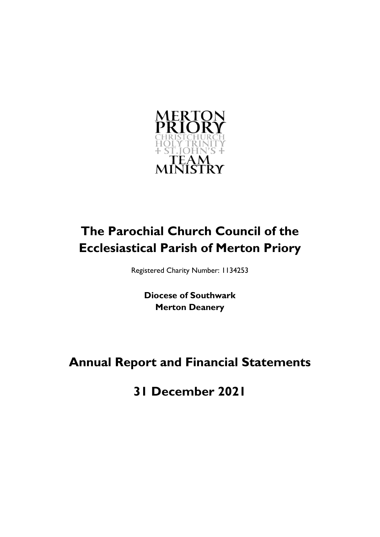

# **The Parochial Church Council of the Ecclesiastical Parish of Merton Priory**

Registered Charity Number: 1134253

**Diocese of Southwark Merton Deanery**

# **Annual Report and Financial Statements**

**31 December 2021**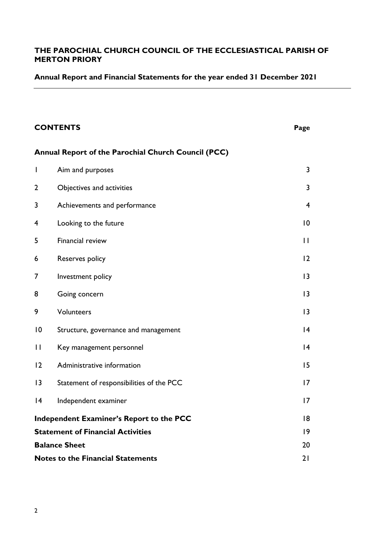### **Annual Report and Financial Statements for the year ended 31 December 2021**

# **CONTENTS Page Annual Report of the Parochial Church Council (PCC)** 1 Aim and purposes 3 2 Objectives and activities 3 3 Achievements and performance 4 4 Looking to the future 10 5 Financial review 11 6 Reserves policy 12 7 Investment policy 13 8 Going concern 13 9 Volunteers 13 10 Structure, governance and management 14 11 Key management personnel 14 12 Administrative information 15 13 Statement of responsibilities of the PCC 17 14 Independent examiner 17 **Independent Examiner's Report to the PCC** 18 **Statement of Financial Activities** 19 **Balance Sheet** 20 **Notes to the Financial Statements** 21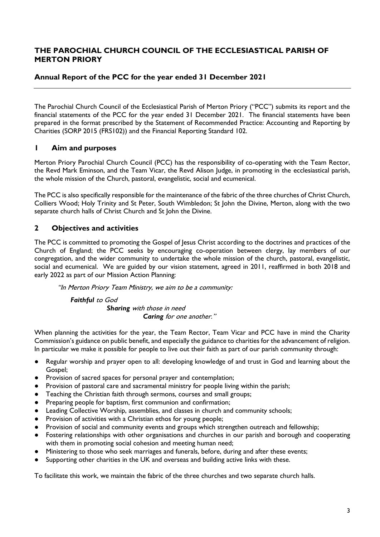# **Annual Report of the PCC for the year ended 31 December 2021**

The Parochial Church Council of the Ecclesiastical Parish of Merton Priory ("PCC") submits its report and the financial statements of the PCC for the year ended 31 December 2021. The financial statements have been prepared in the format prescribed by the Statement of Recommended Practice: Accounting and Reporting by Charities (SORP 2015 (FRS102)) and the Financial Reporting Standard 102.

### **1 Aim and purposes**

Merton Priory Parochial Church Council (PCC) has the responsibility of co-operating with the Team Rector, the Revd Mark Eminson, and the Team Vicar, the Revd Alison Judge, in promoting in the ecclesiastical parish, the whole mission of the Church, pastoral, evangelistic, social and ecumenical.

The PCC is also specifically responsible for the maintenance of the fabric of the three churches of Christ Church, Colliers Wood; Holy Trinity and St Peter, South Wimbledon; St John the Divine, Merton, along with the two separate church halls of Christ Church and St John the Divine.

# **2 Objectives and activities**

The PCC is committed to promoting the Gospel of Jesus Christ according to the doctrines and practices of the Church of England; the PCC seeks by encouraging co-operation between clergy, lay members of our congregation, and the wider community to undertake the whole mission of the church, pastoral, evangelistic, social and ecumenical. We are guided by our vision statement, agreed in 2011, reaffirmed in both 2018 and early 2022 as part of our Mission Action Planning:

"In Merton Priory Team Ministry, we aim to be a community:

*Faithful* to God *Sharing* with those in need *Caring* for one another."

When planning the activities for the year, the Team Rector, Team Vicar and PCC have in mind the Charity Commission's guidance on public benefit, and especially the guidance to charities for the advancement of religion. In particular we make it possible for people to live out their faith as part of our parish community through:

- Regular worship and prayer open to all: developing knowledge of and trust in God and learning about the Gospel;
- Provision of sacred spaces for personal prayer and contemplation;
- Provision of pastoral care and sacramental ministry for people living within the parish;
- Teaching the Christian faith through sermons, courses and small groups;
- Preparing people for baptism, first communion and confirmation;
- Leading Collective Worship, assemblies, and classes in church and community schools;
- Provision of activities with a Christian ethos for young people;
- Provision of social and community events and groups which strengthen outreach and fellowship;
- Fostering relationships with other organisations and churches in our parish and borough and cooperating with them in promoting social cohesion and meeting human need;
- Ministering to those who seek marriages and funerals, before, during and after these events;
- Supporting other charities in the UK and overseas and building active links with these.

To facilitate this work, we maintain the fabric of the three churches and two separate church halls.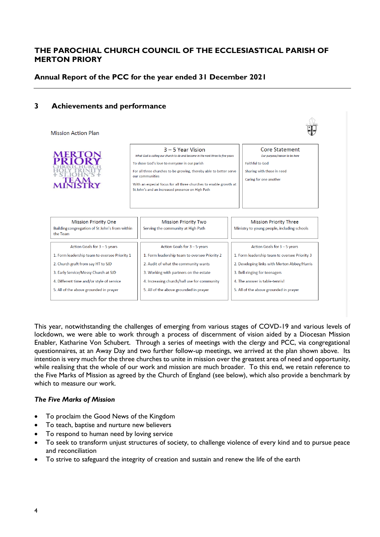### **Annual Report of the PCC for the year ended 31 December 2021**

### **3 Achievements and performance**

**Mission Action Plan** 

| <b>MERTON</b>                                                                             | 3 – 5 Year Vision<br>What God is calling our church to do and become in the next three to five years<br>To show God's love to everyone in our parish<br>For all three churches to be growing, thereby able to better serve<br>our communities<br>With an especial focus for all three churches to enable growth at<br>St John's and an increased presence on High Path | Core Statement<br>Our purpose/reason to be here<br><b>Faithful to God</b><br>Sharing with those in need<br>Caring for one another |
|-------------------------------------------------------------------------------------------|------------------------------------------------------------------------------------------------------------------------------------------------------------------------------------------------------------------------------------------------------------------------------------------------------------------------------------------------------------------------|-----------------------------------------------------------------------------------------------------------------------------------|
| <b>Mission Priority One</b><br>Building congregation of St John's from within<br>the Team | <b>Mission Priority Two</b><br>Serving the community at High Path                                                                                                                                                                                                                                                                                                      | <b>Mission Priority Three</b><br>Ministry to young people, including schools                                                      |

| Building congregation of St John's from within<br>the Team | Serving the community at High Path            | Ministry to young people, including schools   |  |
|------------------------------------------------------------|-----------------------------------------------|-----------------------------------------------|--|
| Action Goals for 3 - 5 years                               | Action Goals for 3 - 5 years                  | Action Goals for 3 - 5 years                  |  |
| 1. Form leadership team to oversee Priority 1              | 1. Form leadership team to oversee Priority 2 | 1. Form leadership team to oversee Priority 3 |  |
| 2. Church graft from say HT to SJD                         | 2. Audit of what the community wants          | 2. Developing links with Merton Abbey/Harris  |  |
| 3. Early Service/Messy Church at SJD                       | 3. Working with partners on the estate        | 3. Bell-ringing for teenagers                 |  |
| 4. Different time and/or style of service                  | 4. Increasing church/hall use for community   | 4. The answer is table-tennis!                |  |
| 5. All of the above grounded in prayer                     | 5. All of the above grounded in prayer        | 5. All of the above grounded in prayer        |  |
|                                                            |                                               |                                               |  |

This year, notwithstanding the challenges of emerging from various stages of COVD-19 and various levels of lockdown, we were able to work through a process of discernment of vision aided by a Diocesan Mission Enabler, Katharine Von Schubert. Through a series of meetings with the clergy and PCC, via congregational questionnaires, at an Away Day and two further follow-up meetings, we arrived at the plan shown above. Its intention is very much for the three churches to unite in mission over the greatest area of need and opportunity, while realising that the whole of our work and mission are much broader. To this end, we retain reference to the Five Marks of Mission as agreed by the Church of England (see below), which also provide a benchmark by which to measure our work.

#### *The Five Marks of Mission*

- To proclaim the Good News of the Kingdom
- To teach, baptise and nurture new believers
- To respond to human need by loving service
- To seek to transform unjust structures of society, to challenge violence of every kind and to pursue peace and reconciliation
- To strive to safeguard the integrity of creation and sustain and renew the life of the earth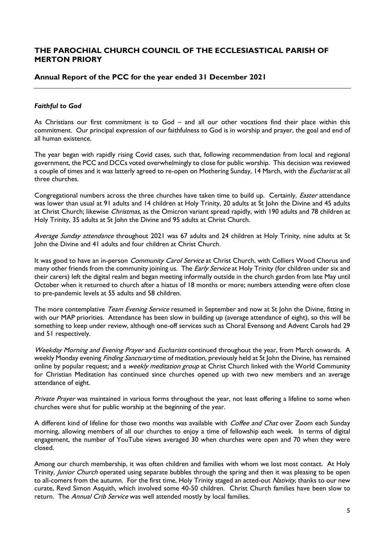### **Annual Report of the PCC for the year ended 31 December 2021**

### *Faithful to God*

As Christians our first commitment is to God – and all our other vocations find their place within this commitment. Our principal expression of our faithfulness to God is in worship and prayer, the goal and end of all human existence.

The year began with rapidly rising Covid cases, such that, following recommendation from local and regional government, the PCC and DCCs voted overwhelmingly to close for public worship. This decision was reviewed a couple of times and it was latterly agreed to re-open on Mothering Sunday, 14 March, with the *Eucharist* at all three churches.

Congregational numbers across the three churches have taken time to build up. Certainly, *Easter* attendance was lower than usual at 91 adults and 14 children at Holy Trinity, 20 adults at St John the Divine and 45 adults at Christ Church; likewise Christmas, as the Omicron variant spread rapidly, with 190 adults and 78 children at Holy Trinity, 35 adults at St John the Divine and 95 adults at Christ Church.

Average Sunday attendance throughout 2021 was 67 adults and 24 children at Holy Trinity, nine adults at St John the Divine and 41 adults and four children at Christ Church.

It was good to have an in-person *Community Carol Service* at Christ Church, with Colliers Wood Chorus and many other friends from the community joining us. The *Early Service* at Holy Trinity (for children under six and their carers) left the digital realm and began meeting informally outside in the church garden from late May until October when it returned to church after a hiatus of 18 months or more; numbers attending were often close to pre-pandemic levels at 55 adults and 58 children.

The more contemplative Team Evening Service resumed in September and now at St John the Divine, fitting in with our MAP priorities. Attendance has been slow in building up (average attendance of eight), so this will be something to keep under review, although one-off services such as Choral Evensong and Advent Carols had 29 and 51 respectively.

Weekday Morning and Evening Prayer and Eucharists continued throughout the year, from March onwards. A weekly Monday evening *Finding Sanctuary* time of meditation, previously held at St John the Divine, has remained online by popular request; and a *weekly meditation group* at Christ Church linked with the World Community for Christian Meditation has continued since churches opened up with two new members and an average attendance of eight.

Private Prayer was maintained in various forms throughout the year, not least offering a lifeline to some when churches were shut for public worship at the beginning of the year.

A different kind of lifeline for those two months was available with Coffee and Chat over Zoom each Sunday morning, allowing members of all our churches to enjoy a time of fellowship each week. In terms of digital engagement, the number of YouTube views averaged 30 when churches were open and 70 when they were closed.

Among our church membership, it was often children and families with whom we lost most contact. At Holy Trinity, *Junior Church* operated using separate bubbles through the spring and then it was pleasing to be open to all-comers from the autumn. For the first time, Holy Trinity staged an acted-out Nativity, thanks to our new curate, Revd Simon Asquith, which involved some 40-50 children. Christ Church families have been slow to return. The Annual Crib Service was well attended mostly by local families.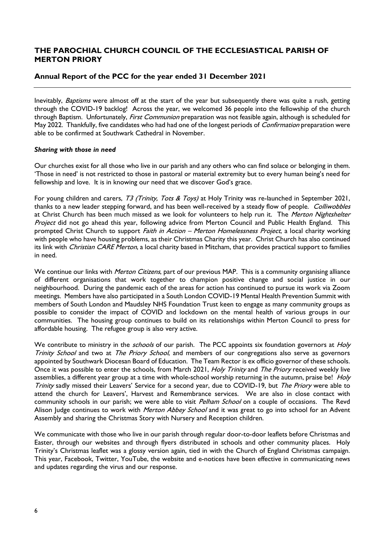### **Annual Report of the PCC for the year ended 31 December 2021**

Inevitably, Baptisms were almost off at the start of the year but subsequently there was quite a rush, getting through the COVID-19 backlog! Across the year, we welcomed 36 people into the fellowship of the church through Baptism. Unfortunately, *First Communion* preparation was not feasible again, although is scheduled for May 2022. Thankfully, five candidates who had had one of the longest periods of *Confirmation* preparation were able to be confirmed at Southwark Cathedral in November.

#### *Sharing with those in need*

Our churches exist for all those who live in our parish and any others who can find solace or belonging in them. 'Those in need' is not restricted to those in pastoral or material extremity but to every human being's need for fellowship and love. It is in knowing our need that we discover God's grace.

For young children and carers, T3 (Trinity, Tots & Toys) at Holy Trinity was re-launched in September 2021, thanks to a new leader stepping forward, and has been well-received by a steady flow of people. Colliwobbles at Christ Church has been much missed as we look for volunteers to help run it. The Merton Nightshelter Project did not go ahead this year, following advice from Merton Council and Public Health England. This prompted Christ Church to support Faith in Action – Merton Homelessness Project, a local charity working with people who have housing problems, as their Christmas Charity this year. Christ Church has also continued its link with Christian CARE Merton, a local charity based in Mitcham, that provides practical support to families in need.

We continue our links with *Merton Citizens*, part of our previous MAP. This is a community organising alliance of different organisations that work together to champion positive change and social justice in our neighbourhood. During the pandemic each of the areas for action has continued to pursue its work via Zoom meetings. Members have also participated in a South London COVID-19 Mental Health Prevention Summit with members of South London and Maudsley NHS Foundation Trust keen to engage as many community groups as possible to consider the impact of COVID and lockdown on the mental health of various groups in our communities. The housing group continues to build on its relationships within Merton Council to press for affordable housing. The refugee group is also very active.

We contribute to ministry in the *schools* of our parish. The PCC appoints six foundation governors at *Holy* Trinity School and two at The Priory School, and members of our congregations also serve as governors appointed by Southwark Diocesan Board of Education. The Team Rector is ex officio governor of these schools. Once it was possible to enter the schools, from March 2021, *Holy Trinity* and *The Priory* received weekly live assemblies, a different year group at a time with whole-school worship returning in the autumn, praise be! Holy Trinity sadly missed their Leavers' Service for a second year, due to COVID-19, but The Priory were able to attend the church for Leavers', Harvest and Remembrance services. We are also in close contact with community schools in our parish; we were able to visit *Pelham School* on a couple of occasions. The Revd Alison Judge continues to work with *Merton Abbey School* and it was great to go into school for an Advent Assembly and sharing the Christmas Story with Nursery and Reception children.

We communicate with those who live in our parish through regular door-to-door leaflets before Christmas and Easter, through our websites and through flyers distributed in schools and other community places. Holy Trinity's Christmas leaflet was a glossy version again, tied in with the Church of England Christmas campaign. This year, Facebook, Twitter, YouTube, the website and e-notices have been effective in communicating news and updates regarding the virus and our response.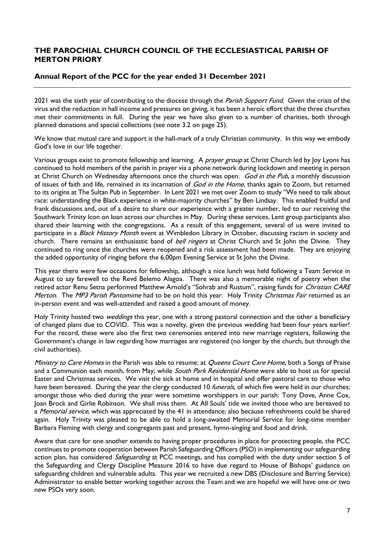# **Annual Report of the PCC for the year ended 31 December 2021**

2021 was the sixth year of contributing to the diocese through the Parish Support Fund. Given the crisis of the virus and the reduction in hall income and pressures on giving, it has been a heroic effort that the three churches met their commitments in full. During the year we have also given to a number of charities, both through planned donations and special collections (see note 3.2 on page 25).

We know that mutual care and support is the hall-mark of a truly Christian community. In this way we embody God's love in our life together.

Various groups exist to promote fellowship and learning. A *prayer group* at Christ Church led by Joy Lyons has continued to hold members of the parish in prayer via a phone network during lockdown and meeting in person at Christ Church on Wednesday afternoons once the church was open. God in the Pub, a monthly discussion of issues of faith and life, remained in its incarnation of God in the Home, thanks again to Zoom, but returned to its origins at The Sultan Pub in September. In Lent 2021 we met over Zoom to study "We need to talk about race: understanding the Black experience in white-majority churches" by Ben Lindsay. This enabled fruitful and frank discussions and, out of a desire to share our experience with a greater number, led to our receiving the Southwark Trinity Icon on loan across our churches in May. During these services, Lent group participants also shared their learning with the congregations. As a result of this engagement, several of us were invited to participate in a Black History Month event at Wimbledon Library in October, discussing racism in society and church. There remains an enthusiastic band of *bell ringers* at Christ Church and St John the Divine. They continued to ring once the churches were reopened and a risk assessment had been made. They are enjoying the added opportunity of ringing before the 6.00pm Evening Service at St John the Divine.

This year there were few occasions for fellowship, although a nice lunch was held following a Team Service in August to say farewell to the Revd Belemo Alagoa. There was also a memorable night of poetry when the retired actor Renu Setna performed Matthew Arnold's "Sohrab and Rustum", raising funds for Christian CARE Merton. The MP3 Parish Pantomime had to be on hold this year. Holy Trinity Christmas Fair returned as an in-person event and was well-attended and raised a good amount of money.

Holy Trinity hosted two *weddings* this year, one with a strong pastoral connection and the other a beneficiary of changed plans due to COVID. This was a novelty, given the previous wedding had been four years earlier! For the record, these were also the first two ceremonies entered into new marriage registers, following the Government's change in law regarding how marriages are registered (no longer by the church, but through the civil authorities).

Ministry to Care Homes in the Parish was able to resume: at Queens Court Care Home, both a Songs of Praise and a Communion each month, from May; while South Park Residential Home were able to host us for special Easter and Christmas services. We visit the sick at home and in hospital and offer pastoral care to those who have been bereaved. During the year the clergy conducted 10 *funerals*, of which five were held in our churches; amongst those who died during the year were sometime worshippers in our parish: Tony Dove, Anne Cox, Joan Brock and Girlie Robinson. We shall miss them. At All Souls' tide we invited those who are bereaved to a Memorial service, which was appreciated by the 41 in attendance; also because refreshments could be shared again. Holy Trinity was pleased to be able to hold a long-awaited Memorial Service for long-time member Barbara Fleming with clergy and congregants past and present, hymn-singing and food and drink.

Aware that care for one another extends to having proper procedures in place for protecting people, the PCC continues to promote cooperation between Parish Safeguarding Officers (PSO) in implementing our safeguarding action plan, has considered *Safeguarding* at PCC meetings, and has complied with the duty under section 5 of the Safeguarding and Clergy Discipline Measure 2016 to have due regard to House of Bishops' guidance on safeguarding children and vulnerable adults. This year we recruited a new DBS (Disclosure and Barring Service) Administrator to enable better working together across the Team and we are hopeful we will have one or two new PSOs very soon.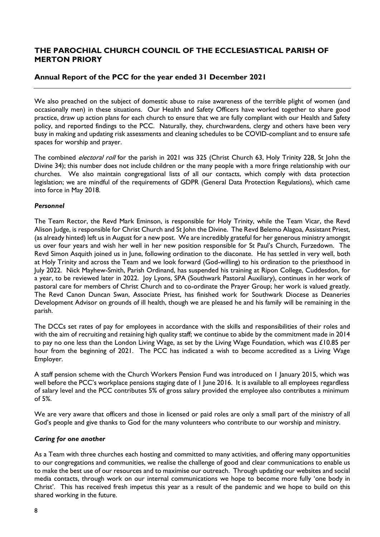### **Annual Report of the PCC for the year ended 31 December 2021**

We also preached on the subject of domestic abuse to raise awareness of the terrible plight of women (and occasionally men) in these situations. Our Health and Safety Officers have worked together to share good practice, draw up action plans for each church to ensure that we are fully compliant with our Health and Safety policy, and reported findings to the PCC. Naturally, they, churchwardens, clergy and others have been very busy in making and updating risk assessments and cleaning schedules to be COVID-compliant and to ensure safe spaces for worship and prayer.

The combined *electoral roll* for the parish in 2021 was 325 (Christ Church 63, Holy Trinity 228, St John the Divine 34); this number does not include children or the many people with a more fringe relationship with our churches. We also maintain congregational lists of all our contacts, which comply with data protection legislation; we are mindful of the requirements of GDPR (General Data Protection Regulations), which came into force in May 2018.

#### *Personnel*

The Team Rector, the Revd Mark Eminson, is responsible for Holy Trinity, while the Team Vicar, the Revd Alison Judge, is responsible for Christ Church and St John the Divine. The Revd Belemo Alagoa, Assistant Priest, (as already hinted) left us in August for a new post. We are incredibly grateful for her generous ministry amongst us over four years and wish her well in her new position responsible for St Paul's Church, Furzedown. The Revd Simon Asquith joined us in June, following ordination to the diaconate. He has settled in very well, both at Holy Trinity and across the Team and we look forward (God-willing) to his ordination to the priesthood in July 2022. Nick Mayhew-Smith, Parish Ordinand, has suspended his training at Ripon College, Cuddesdon, for a year, to be reviewed later in 2022. Joy Lyons, SPA (Southwark Pastoral Auxiliary), continues in her work of pastoral care for members of Christ Church and to co-ordinate the Prayer Group; her work is valued greatly. The Revd Canon Duncan Swan, Associate Priest, has finished work for Southwark Diocese as Deaneries Development Advisor on grounds of ill health, though we are pleased he and his family will be remaining in the parish.

The DCCs set rates of pay for employees in accordance with the skills and responsibilities of their roles and with the aim of recruiting and retaining high quality staff; we continue to abide by the commitment made in 2014 to pay no one less than the London Living Wage, as set by the Living Wage Foundation, which was £10.85 per hour from the beginning of 2021. The PCC has indicated a wish to become accredited as a Living Wage Employer.

A staff pension scheme with the Church Workers Pension Fund was introduced on 1 January 2015, which was well before the PCC's workplace pensions staging date of 1 June 2016. It is available to all employees regardless of salary level and the PCC contributes 5% of gross salary provided the employee also contributes a minimum of 5%.

We are very aware that officers and those in licensed or paid roles are only a small part of the ministry of all God's people and give thanks to God for the many volunteers who contribute to our worship and ministry.

#### *Caring for one another*

As a Team with three churches each hosting and committed to many activities, and offering many opportunities to our congregations and communities, we realise the challenge of good and clear communications to enable us to make the best use of our resources and to maximise our outreach. Through updating our websites and social media contacts, through work on our internal communications we hope to become more fully 'one body in Christ'. This has received fresh impetus this year as a result of the pandemic and we hope to build on this shared working in the future.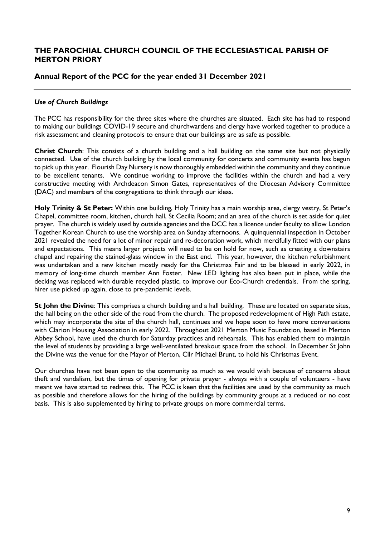### **Annual Report of the PCC for the year ended 31 December 2021**

#### *Use of Church Buildings*

The PCC has responsibility for the three sites where the churches are situated. Each site has had to respond to making our buildings COVID-19 secure and churchwardens and clergy have worked together to produce a risk assessment and cleaning protocols to ensure that our buildings are as safe as possible.

**Christ Church**: This consists of a church building and a hall building on the same site but not physically connected. Use of the church building by the local community for concerts and community events has begun to pick up this year. Flourish Day Nursery is now thoroughly embedded within the community and they continue to be excellent tenants. We continue working to improve the facilities within the church and had a very constructive meeting with Archdeacon Simon Gates, representatives of the Diocesan Advisory Committee (DAC) and members of the congregations to think through our ideas.

**Holy Trinity & St Peter:** Within one building, Holy Trinity has a main worship area, clergy vestry, St Peter's Chapel, committee room, kitchen, church hall, St Cecilia Room; and an area of the church is set aside for quiet prayer. The church is widely used by outside agencies and the DCC has a licence under faculty to allow London Together Korean Church to use the worship area on Sunday afternoons. A quinquennial inspection in October 2021 revealed the need for a lot of minor repair and re-decoration work, which mercifully fitted with our plans and expectations. This means larger projects will need to be on hold for now, such as creating a downstairs chapel and repairing the stained-glass window in the East end. This year, however, the kitchen refurbishment was undertaken and a new kitchen mostly ready for the Christmas Fair and to be blessed in early 2022, in memory of long-time church member Ann Foster. New LED lighting has also been put in place, while the decking was replaced with durable recycled plastic, to improve our Eco-Church credentials. From the spring, hirer use picked up again, close to pre-pandemic levels.

**St John the Divine**: This comprises a church building and a hall building. These are located on separate sites, the hall being on the other side of the road from the church. The proposed redevelopment of High Path estate, which may incorporate the site of the church hall, continues and we hope soon to have more conversations with Clarion Housing Association in early 2022. Throughout 2021 Merton Music Foundation, based in Merton Abbey School, have used the church for Saturday practices and rehearsals. This has enabled them to maintain the level of students by providing a large well-ventilated breakout space from the school. In December St John the Divine was the venue for the Mayor of Merton, Cllr Michael Brunt, to hold his Christmas Event.

Our churches have not been open to the community as much as we would wish because of concerns about theft and vandalism, but the times of opening for private prayer - always with a couple of volunteers - have meant we have started to redress this. The PCC is keen that the facilities are used by the community as much as possible and therefore allows for the hiring of the buildings by community groups at a reduced or no cost basis. This is also supplemented by hiring to private groups on more commercial terms.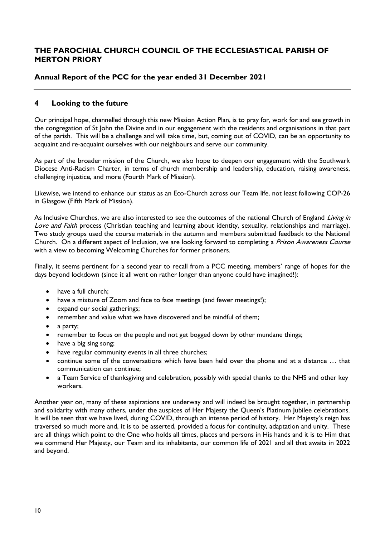# **Annual Report of the PCC for the year ended 31 December 2021**

# **4 Looking to the future**

Our principal hope, channelled through this new Mission Action Plan, is to pray for, work for and see growth in the congregation of St John the Divine and in our engagement with the residents and organisations in that part of the parish. This will be a challenge and will take time, but, coming out of COVID, can be an opportunity to acquaint and re-acquaint ourselves with our neighbours and serve our community.

As part of the broader mission of the Church, we also hope to deepen our engagement with the Southwark Diocese Anti-Racism Charter, in terms of church membership and leadership, education, raising awareness, challenging injustice, and more (Fourth Mark of Mission).

Likewise, we intend to enhance our status as an Eco-Church across our Team life, not least following COP-26 in Glasgow (Fifth Mark of Mission).

As Inclusive Churches, we are also interested to see the outcomes of the national Church of England Living in Love and Faith process (Christian teaching and learning about identity, sexuality, relationships and marriage). Two study groups used the course materials in the autumn and members submitted feedback to the National Church. On a different aspect of Inclusion, we are looking forward to completing a Prison Awareness Course with a view to becoming Welcoming Churches for former prisoners.

Finally, it seems pertinent for a second year to recall from a PCC meeting, members' range of hopes for the days beyond lockdown (since it all went on rather longer than anyone could have imagined!):

- have a full church;
- have a mixture of Zoom and face to face meetings (and fewer meetings!);
- expand our social gatherings;
- remember and value what we have discovered and be mindful of them;
- a party;
- remember to focus on the people and not get bogged down by other mundane things;
- have a big sing song;
- have regular community events in all three churches;
- continue some of the conversations which have been held over the phone and at a distance … that communication can continue;
- a Team Service of thanksgiving and celebration, possibly with special thanks to the NHS and other key workers.

Another year on, many of these aspirations are underway and will indeed be brought together, in partnership and solidarity with many others, under the auspices of Her Majesty the Queen's Platinum Jubilee celebrations. It will be seen that we have lived, during COVID, through an intense period of history. Her Majesty's reign has traversed so much more and, it is to be asserted, provided a focus for continuity, adaptation and unity. These are all things which point to the One who holds all times, places and persons in His hands and it is to Him that we commend Her Majesty, our Team and its inhabitants, our common life of 2021 and all that awaits in 2022 and beyond.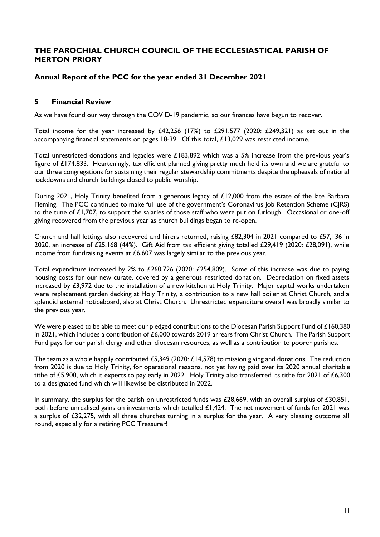### **Annual Report of the PCC for the year ended 31 December 2021**

### **5 Financial Review**

As we have found our way through the COVID-19 pandemic, so our finances have begun to recover.

Total income for the year increased by £42,256 (17%) to £291,577 (2020: £249,321) as set out in the accompanying financial statements on pages 18-39. Of this total, £13,029 was restricted income.

Total unrestricted donations and legacies were £183,892 which was a 5% increase from the previous year's figure of £174,833. Hearteningly, tax efficient planned giving pretty much held its own and we are grateful to our three congregations for sustaining their regular stewardship commitments despite the upheavals of national lockdowns and church buildings closed to public worship.

During 2021, Holy Trinity benefited from a generous legacy of £12,000 from the estate of the late Barbara Fleming. The PCC continued to make full use of the government's Coronavirus Job Retention Scheme (CJRS) to the tune of £1,707, to support the salaries of those staff who were put on furlough. Occasional or one-off giving recovered from the previous year as church buildings began to re-open.

Church and hall lettings also recovered and hirers returned, raising £82,304 in 2021 compared to £57,136 in 2020, an increase of £25,168 (44%). Gift Aid from tax efficient giving totalled £29,419 (2020: £28,091), while income from fundraising events at £6,607 was largely similar to the previous year.

Total expenditure increased by 2% to £260,726 (2020: £254,809). Some of this increase was due to paying housing costs for our new curate, covered by a generous restricted donation. Depreciation on fixed assets increased by £3,972 due to the installation of a new kitchen at Holy Trinity. Major capital works undertaken were replacement garden decking at Holy Trinity, a contribution to a new hall boiler at Christ Church, and a splendid external noticeboard, also at Christ Church. Unrestricted expenditure overall was broadly similar to the previous year.

We were pleased to be able to meet our pledged contributions to the Diocesan Parish Support Fund of £160,380 in 2021, which includes a contribution of £6,000 towards 2019 arrears from Christ Church. The Parish Support Fund pays for our parish clergy and other diocesan resources, as well as a contribution to poorer parishes.

The team as a whole happily contributed £5,349 (2020: £14,578) to mission giving and donations. The reduction from 2020 is due to Holy Trinity, for operational reasons, not yet having paid over its 2020 annual charitable tithe of £5,900, which it expects to pay early in 2022. Holy Trinity also transferred its tithe for 2021 of £6,300 to a designated fund which will likewise be distributed in 2022.

In summary, the surplus for the parish on unrestricted funds was £28,669, with an overall surplus of £30,851, both before unrealised gains on investments which totalled £1,424. The net movement of funds for 2021 was a surplus of £32,275, with all three churches turning in a surplus for the year. A very pleasing outcome all round, especially for a retiring PCC Treasurer!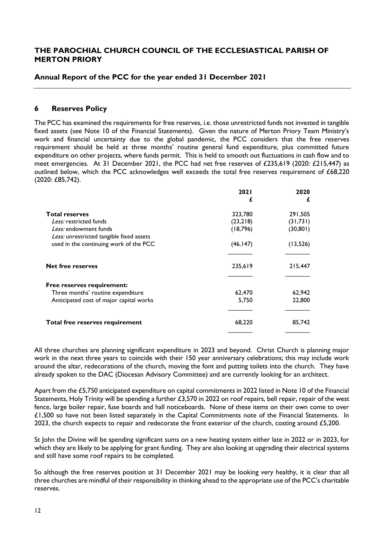### **Annual Report of the PCC for the year ended 31 December 2021**

### **6 Reserves Policy**

The PCC has examined the requirements for free reserves, i.e. those unrestricted funds not invested in tangible fixed assets (see Note 10 of the Financial Statements). Given the nature of Merton Priory Team Ministry's work and financial uncertainty due to the global pandemic, the PCC considers that the free reserves requirement should be held at three months' routine general fund expenditure, plus committed future expenditure on other projects, where funds permit. This is held to smooth out fluctuations in cash flow and to meet emergencies. At 31 December 2021, the PCC had net free reserves of £235,619 (2020: £215,447) as outlined below, which the PCC acknowledges well exceeds the total free reserves requirement of £68,220 (2020: £85,742).

|                                          | <b>2021</b> | 2020      |
|------------------------------------------|-------------|-----------|
|                                          | £           | £         |
| Total reserves                           | 323,780     | 291,505   |
| Less: restricted funds                   | (23,218)    | (31,731)  |
| Less: endowment funds                    | (18, 796)   | (30, 801) |
| Less: unrestricted tangible fixed assets |             |           |
| used in the continuing work of the PCC   | (46, 147)   | (13, 526) |
| <b>Net free reserves</b>                 | 235,619     | 215,447   |
| Free reserves requirement:               |             |           |
| Three months' routine expenditure        | 62,470      | 62,942    |
| Anticipated cost of major capital works  | 5,750       | 22,800    |
|                                          |             |           |
| Total free reserves requirement          | 68,220      | 85,742    |
|                                          |             |           |

All three churches are planning significant expenditure in 2023 and beyond. Christ Church is planning major work in the next three years to coincide with their 150 year anniversary celebrations; this may include work around the altar, redecorations of the church, moving the font and putting toilets into the church. They have already spoken to the DAC (Diocesan Advisory Committee) and are currently looking for an architect.

Apart from the £5,750 anticipated expenditure on capital commitments in 2022 listed in Note 10 of the Financial Statements, Holy Trinity will be spending a further £3,570 in 2022 on roof repairs, bell repair, repair of the west fence, large boiler repair, fuse boards and hall noticeboards. None of these items on their own come to over £1,500 so have not been listed separately in the Capital Commitments note of the Financial Statements. In 2023, the church expects to repair and redecorate the front exterior of the church, costing around £5,200.

St John the Divine will be spending significant sums on a new heating system either late in 2022 or in 2023, for which they are likely to be applying for grant funding. They are also looking at upgrading their electrical systems and still have some roof repairs to be completed.

So although the free reserves position at 31 December 2021 may be looking very healthy, it is clear that all three churches are mindful of their responsibility in thinking ahead to the appropriate use of the PCC's charitable reserves.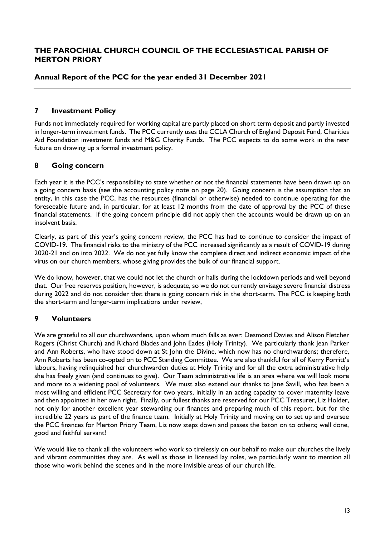### **Annual Report of the PCC for the year ended 31 December 2021**

### **7 Investment Policy**

Funds not immediately required for working capital are partly placed on short term deposit and partly invested in longer-term investment funds. The PCC currently uses the CCLA Church of England Deposit Fund, Charities Aid Foundation investment funds and M&G Charity Funds. The PCC expects to do some work in the near future on drawing up a formal investment policy.

### **8 Going concern**

Each year it is the PCC's responsibility to state whether or not the financial statements have been drawn up on a going concern basis (see the accounting policy note on page 20). Going concern is the assumption that an entity, in this case the PCC, has the resources (financial or otherwise) needed to continue operating for the foreseeable future and, in particular, for at least 12 months from the date of approval by the PCC of these financial statements. If the going concern principle did not apply then the accounts would be drawn up on an insolvent basis.

Clearly, as part of this year's going concern review, the PCC has had to continue to consider the impact of COVID-19. The financial risks to the ministry of the PCC increased significantly as a result of COVID-19 during 2020-21 and on into 2022. We do not yet fully know the complete direct and indirect economic impact of the virus on our church members, whose giving provides the bulk of our financial support.

We do know, however, that we could not let the church or halls during the lockdown periods and well beyond that. Our free reserves position, however, is adequate, so we do not currently envisage severe financial distress during 2022 and do not consider that there is going concern risk in the short-term. The PCC is keeping both the short-term and longer-term implications under review,

# **9 Volunteers**

We are grateful to all our churchwardens, upon whom much falls as ever: Desmond Davies and Alison Fletcher Rogers (Christ Church) and Richard Blades and John Eades (Holy Trinity). We particularly thank Jean Parker and Ann Roberts, who have stood down at St John the Divine, which now has no churchwardens; therefore, Ann Roberts has been co-opted on to PCC Standing Committee. We are also thankful for all of Kerry Porritt's labours, having relinquished her churchwarden duties at Holy Trinity and for all the extra administrative help she has freely given (and continues to give). Our Team administrative life is an area where we will look more and more to a widening pool of volunteers. We must also extend our thanks to Jane Savill, who has been a most willing and efficient PCC Secretary for two years, initially in an acting capacity to cover maternity leave and then appointed in her own right. Finally, our fullest thanks are reserved for our PCC Treasurer, Liz Holder, not only for another excellent year stewarding our finances and preparing much of this report, but for the incredible 22 years as part of the finance team. Initially at Holy Trinity and moving on to set up and oversee the PCC finances for Merton Priory Team, Liz now steps down and passes the baton on to others; well done, good and faithful servant!

We would like to thank all the volunteers who work so tirelessly on our behalf to make our churches the lively and vibrant communities they are. As well as those in licensed lay roles, we particularly want to mention all those who work behind the scenes and in the more invisible areas of our church life.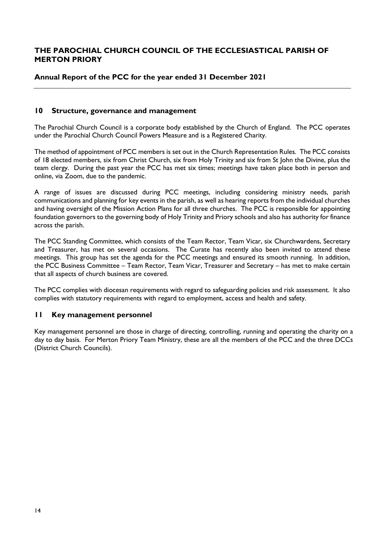### **Annual Report of the PCC for the year ended 31 December 2021**

### **10 Structure, governance and management**

The Parochial Church Council is a corporate body established by the Church of England. The PCC operates under the Parochial Church Council Powers Measure and is a Registered Charity.

The method of appointment of PCC members is set out in the Church Representation Rules. The PCC consists of 18 elected members, six from Christ Church, six from Holy Trinity and six from St John the Divine, plus the team clergy. During the past year the PCC has met six times; meetings have taken place both in person and online, via Zoom, due to the pandemic.

A range of issues are discussed during PCC meetings, including considering ministry needs, parish communications and planning for key events in the parish, as well as hearing reports from the individual churches and having oversight of the Mission Action Plans for all three churches. The PCC is responsible for appointing foundation governors to the governing body of Holy Trinity and Priory schools and also has authority for finance across the parish.

The PCC Standing Committee, which consists of the Team Rector, Team Vicar, six Churchwardens, Secretary and Treasurer, has met on several occasions. The Curate has recently also been invited to attend these meetings. This group has set the agenda for the PCC meetings and ensured its smooth running. In addition, the PCC Business Committee – Team Rector, Team Vicar, Treasurer and Secretary – has met to make certain that all aspects of church business are covered.

The PCC complies with diocesan requirements with regard to safeguarding policies and risk assessment. It also complies with statutory requirements with regard to employment, access and health and safety.

### **11 Key management personnel**

Key management personnel are those in charge of directing, controlling, running and operating the charity on a day to day basis. For Merton Priory Team Ministry, these are all the members of the PCC and the three DCCs (District Church Councils).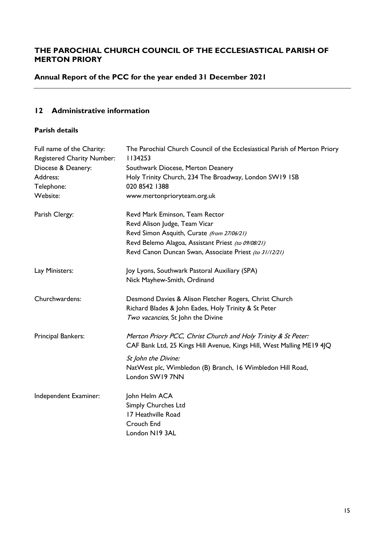# **Annual Report of the PCC for the year ended 31 December 2021**

# **12 Administrative information**

# **Parish details**

| Full name of the Charity:<br><b>Registered Charity Number:</b> | The Parochial Church Council of the Ecclesiastical Parish of Merton Priory<br>1134253 |
|----------------------------------------------------------------|---------------------------------------------------------------------------------------|
| Diocese & Deanery:                                             | Southwark Diocese, Merton Deanery                                                     |
| Address:                                                       | Holy Trinity Church, 234 The Broadway, London SW19 ISB                                |
| Telephone:                                                     | 020 8542 1388                                                                         |
| Website:                                                       | www.mertonprioryteam.org.uk                                                           |
| Parish Clergy:                                                 | Revd Mark Eminson, Team Rector                                                        |
|                                                                | Revd Alison Judge, Team Vicar                                                         |
|                                                                | Revd Simon Asquith, Curate (from 27/06/21)                                            |
|                                                                | Revd Belemo Alagoa, Assistant Priest (to 09/08/21)                                    |
|                                                                | Revd Canon Duncan Swan, Associate Priest (to 31/12/21)                                |
| Lay Ministers:                                                 | Joy Lyons, Southwark Pastoral Auxiliary (SPA)                                         |
|                                                                | Nick Mayhew-Smith, Ordinand                                                           |
| Churchwardens:                                                 | Desmond Davies & Alison Fletcher Rogers, Christ Church                                |
|                                                                | Richard Blades & John Eades, Holy Trinity & St Peter                                  |
|                                                                | Two vacancies, St John the Divine                                                     |
| Principal Bankers:                                             | Merton Priory PCC, Christ Church and Holy Trinity & St Peter:                         |
|                                                                | CAF Bank Ltd, 25 Kings Hill Avenue, Kings Hill, West Malling ME19 4JQ                 |
|                                                                | St John the Divine:                                                                   |
|                                                                | NatWest plc, Wimbledon (B) Branch, 16 Wimbledon Hill Road,                            |
|                                                                | London SW19 7NN                                                                       |
| Independent Examiner:                                          | John Helm ACA                                                                         |
|                                                                | <b>Simply Churches Ltd</b>                                                            |
|                                                                | 17 Heathville Road                                                                    |
|                                                                | Crouch End                                                                            |
|                                                                | London N19 3AL                                                                        |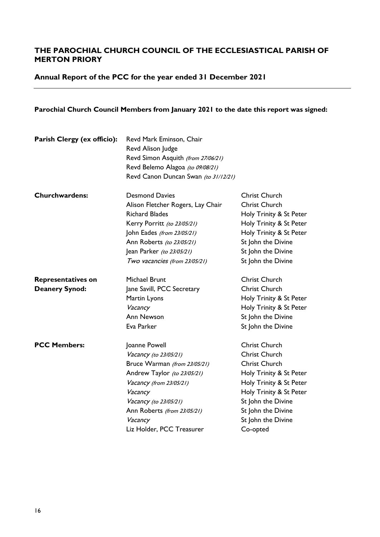**Annual Report of the PCC for the year ended 31 December 2021**

# **Parochial Church Council Members from January 2021 to the date this report was signed:**

| Parish Clergy (ex officio): | Revd Mark Eminson, Chair<br>Revd Alison Judge<br>Revd Simon Asquith (from 27/06/21)<br>Revd Belemo Alagoa (to 09/08/21)<br>Revd Canon Duncan Swan (to 31/12/21) |                         |
|-----------------------------|-----------------------------------------------------------------------------------------------------------------------------------------------------------------|-------------------------|
| <b>Churchwardens:</b>       | <b>Desmond Davies</b>                                                                                                                                           | <b>Christ Church</b>    |
|                             | Alison Fletcher Rogers, Lay Chair                                                                                                                               | Christ Church           |
|                             | <b>Richard Blades</b>                                                                                                                                           | Holy Trinity & St Peter |
|                             | Kerry Porritt (to 23/05/21)                                                                                                                                     | Holy Trinity & St Peter |
|                             | John Eades (from 23/05/21)                                                                                                                                      | Holy Trinity & St Peter |
|                             | Ann Roberts (to 23/05/21)                                                                                                                                       | St John the Divine      |
|                             | Jean Parker (to 23/05/21)                                                                                                                                       | St John the Divine      |
|                             | Two vacancies (from 23/05/21)                                                                                                                                   | St John the Divine      |
| <b>Representatives on</b>   | Michael Brunt                                                                                                                                                   | Christ Church           |
| <b>Deanery Synod:</b>       | Jane Savill, PCC Secretary                                                                                                                                      | <b>Christ Church</b>    |
|                             | Martin Lyons                                                                                                                                                    | Holy Trinity & St Peter |
|                             | Vacancy                                                                                                                                                         | Holy Trinity & St Peter |
|                             | Ann Newson                                                                                                                                                      | St John the Divine      |
|                             | Eva Parker                                                                                                                                                      | St John the Divine      |
| <b>PCC Members:</b>         | Joanne Powell                                                                                                                                                   | <b>Christ Church</b>    |
|                             | Vacancy (to 23/05/21)                                                                                                                                           | <b>Christ Church</b>    |
|                             | Bruce Warman (from 23/05/21)                                                                                                                                    | Christ Church           |
|                             | Andrew Taylor (to 23/05/21)                                                                                                                                     | Holy Trinity & St Peter |
|                             | Vacancy (from 23/05/21)                                                                                                                                         | Holy Trinity & St Peter |
|                             | Vacancy                                                                                                                                                         | Holy Trinity & St Peter |
|                             | Vacancy (to 23/05/21)                                                                                                                                           | St John the Divine      |
|                             | Ann Roberts (from 23/05/21)                                                                                                                                     | St John the Divine      |
|                             | Vacancy                                                                                                                                                         | St John the Divine      |
|                             | Liz Holder, PCC Treasurer                                                                                                                                       | Co-opted                |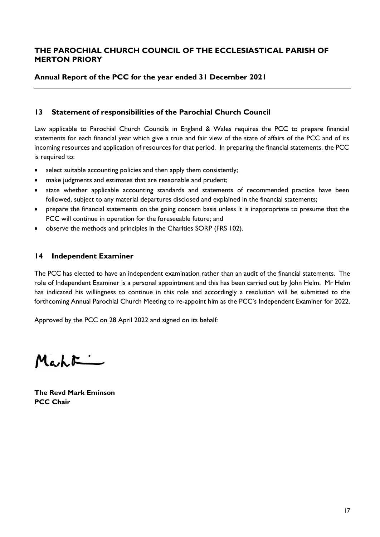### **Annual Report of the PCC for the year ended 31 December 2021**

### **13 Statement of responsibilities of the Parochial Church Council**

Law applicable to Parochial Church Councils in England & Wales requires the PCC to prepare financial statements for each financial year which give a true and fair view of the state of affairs of the PCC and of its incoming resources and application of resources for that period. In preparing the financial statements, the PCC is required to:

- select suitable accounting policies and then apply them consistently;
- make judgments and estimates that are reasonable and prudent;
- state whether applicable accounting standards and statements of recommended practice have been followed, subject to any material departures disclosed and explained in the financial statements;
- prepare the financial statements on the going concern basis unless it is inappropriate to presume that the PCC will continue in operation for the foreseeable future; and
- observe the methods and principles in the Charities SORP (FRS 102).

### **14 Independent Examiner**

The PCC has elected to have an independent examination rather than an audit of the financial statements. The role of Independent Examiner is a personal appointment and this has been carried out by John Helm. Mr Helm has indicated his willingness to continue in this role and accordingly a resolution will be submitted to the forthcoming Annual Parochial Church Meeting to re-appoint him as the PCC's Independent Examiner for 2022.

Approved by the PCC on 28 April 2022 and signed on its behalf:

 $M_{c,h}F$ 

**The Revd Mark Eminson PCC Chair**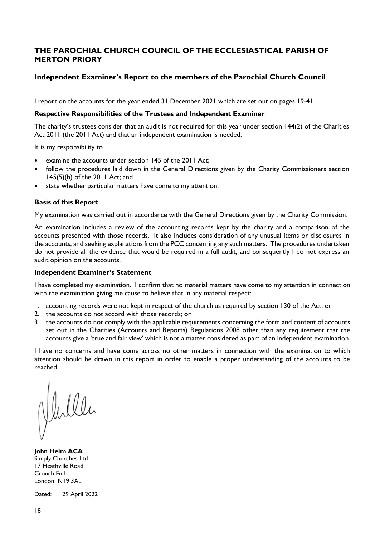### **Independent Examiner's Report to the members of the Parochial Church Council**

I report on the accounts for the year ended 31 December 2021 which are set out on pages 19-41.

#### **Respective Responsibilities of the Trustees and Independent Examiner**

The charity's trustees consider that an audit is not required for this year under section 144(2) of the Charities Act 2011 (the 2011 Act) and that an independent examination is needed.

It is my responsibility to

- examine the accounts under section 145 of the 2011 Act;
- follow the procedures laid down in the General Directions given by the Charity Commissioners section 145(5)(b) of the 2011 Act; and
- state whether particular matters have come to my attention.

#### **Basis of this Report**

My examination was carried out in accordance with the General Directions given by the Charity Commission.

An examination includes a review of the accounting records kept by the charity and a comparison of the accounts presented with those records. It also includes consideration of any unusual items or disclosures in the accounts, and seeking explanations from the PCC concerning any such matters. The procedures undertaken do not provide all the evidence that would be required in a full audit, and consequently I do not express an audit opinion on the accounts.

#### **Independent Examiner's Statement**

I have completed my examination. I confirm that no material matters have come to my attention in connection with the examination giving me cause to believe that in any material respect:

- 1. accounting records were not kept in respect of the church as required by section 130 of the Act; or
- 2. the accounts do not accord with those records; or
- 3. the accounts do not comply with the applicable requirements concerning the form and content of accounts set out in the Charities (Accounts and Reports) Regulations 2008 other than any requirement that the accounts give a 'true and fair view' which is not a matter considered as part of an independent examination.

I have no concerns and have come across no other matters in connection with the examination to which attention should be drawn in this report in order to enable a proper understanding of the accounts to be reached.

Verller

**John Helm ACA** Simply Churches Ltd 17 Heathville Road Crouch End London N19 3AL

Dated: 29 April 2022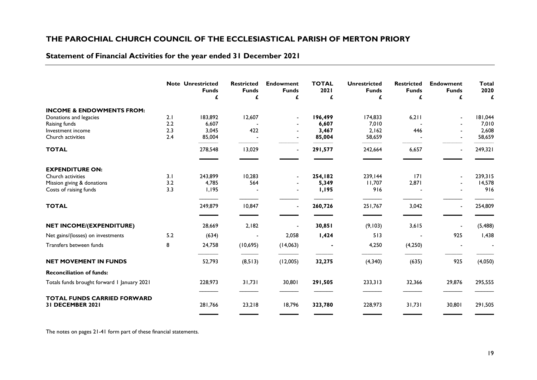# **Statement of Financial Activities for the year ended 31 December 2021**

|                                                        |     | <b>Note Unrestricted</b><br><b>Funds</b><br>£ | <b>Restricted</b><br><b>Funds</b><br>£ | <b>Endowment</b><br><b>Funds</b><br>£ | <b>TOTAL</b><br>2021<br>£ | <b>Unrestricted</b><br><b>Funds</b><br>£ | <b>Restricted</b><br><b>Funds</b><br>£ | <b>Endowment</b><br><b>Funds</b><br>£ | <b>Total</b><br>2020<br>£ |
|--------------------------------------------------------|-----|-----------------------------------------------|----------------------------------------|---------------------------------------|---------------------------|------------------------------------------|----------------------------------------|---------------------------------------|---------------------------|
| <b>INCOME &amp; ENDOWMENTS FROM:</b>                   |     |                                               |                                        |                                       |                           |                                          |                                        |                                       |                           |
| Donations and legacies                                 | 2.1 | 183,892                                       | 12,607                                 |                                       | 196,499                   | 174,833                                  | 6,211                                  | $\blacksquare$                        | 181,044                   |
| Raising funds                                          | 2.2 | 6,607                                         |                                        |                                       | 6,607                     | 7,010                                    |                                        |                                       | 7,010                     |
| Investment income                                      | 2.3 | 3,045                                         | 422                                    |                                       | 3,467                     | 2,162                                    | 446                                    |                                       | 2,608                     |
| Church activities                                      | 2.4 | 85,004                                        |                                        |                                       | 85,004                    | 58,659                                   |                                        |                                       | 58,659                    |
| <b>TOTAL</b>                                           |     | 278,548                                       | 13,029                                 |                                       | 291,577                   | 242,664                                  | 6,657                                  |                                       | 249,321                   |
|                                                        |     |                                               |                                        |                                       |                           |                                          |                                        |                                       |                           |
| <b>EXPENDITURE ON:</b><br>Church activities            | 3.1 |                                               |                                        |                                       |                           |                                          | 7                                      |                                       |                           |
| Mission giving & donations                             | 3.2 | 243,899<br>4,785                              | 10,283<br>564                          |                                       | 254,182<br>5,349          | 239,144<br>11,707                        | 2,871                                  |                                       | 239,315<br>14,578         |
| Costs of raising funds                                 | 3.3 | 1,195                                         |                                        |                                       | 1,195                     | 916                                      |                                        |                                       | 916                       |
| <b>TOTAL</b>                                           |     | 249,879                                       | 10,847                                 | $\blacksquare$                        | 260,726                   | 251,767                                  | 3,042                                  |                                       | 254,809                   |
| NET INCOME/(EXPENDITURE)                               |     | 28,669                                        | 2,182                                  |                                       | 30,851                    | (9,103)                                  | 3,615                                  |                                       | (5, 488)                  |
| Net gains/(losses) on investments                      | 5.2 | (634)                                         |                                        | 2,058                                 | 1,424                     | 513                                      |                                        | 925                                   | 1,438                     |
| Transfers between funds                                | 8   | 24,758                                        | (10, 695)                              | (14,063)                              |                           | 4,250                                    | (4,250)                                |                                       |                           |
| <b>NET MOVEMENT IN FUNDS</b>                           |     | 52,793                                        | (8, 513)                               | (12,005)                              | 32,275                    | (4,340)                                  | (635)                                  | 925                                   | (4,050)                   |
| <b>Reconciliation of funds:</b>                        |     |                                               |                                        |                                       |                           |                                          |                                        |                                       |                           |
| Totals funds brought forward I January 2021            |     | 228,973                                       | 31,731                                 | 30,801                                | 291,505                   | 233,313                                  | 32,366                                 | 29,876                                | 295,555                   |
| <b>TOTAL FUNDS CARRIED FORWARD</b><br>31 DECEMBER 2021 |     | 281,766                                       | 23,218                                 | 18,796                                | 323,780                   | 228,973                                  | 31,731                                 | 30,801                                | 291,505                   |

The notes on pages 21-41 form part of these financial statements.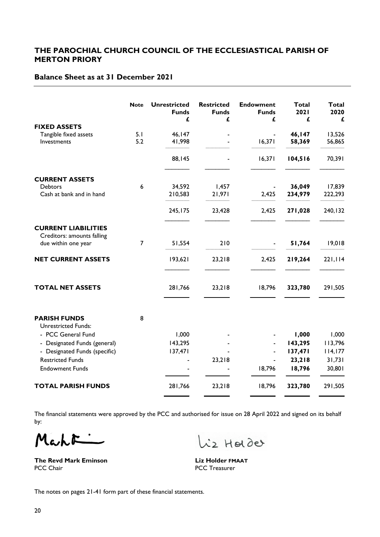# **Balance Sheet as at 31 December 2021**

|                                                          | <b>Note</b>    | <b>Unrestricted</b><br><b>Funds</b><br>£ | <b>Restricted</b><br><b>Funds</b><br>£ | <b>Endowment</b><br><b>Funds</b><br>£ | <b>Total</b><br>2021<br>£ | <b>Total</b><br>2020<br>£ |
|----------------------------------------------------------|----------------|------------------------------------------|----------------------------------------|---------------------------------------|---------------------------|---------------------------|
| <b>FIXED ASSETS</b>                                      |                |                                          |                                        |                                       |                           |                           |
| Tangible fixed assets<br>Investments                     | 5.1<br>5.2     | 46,147<br>41,998                         |                                        | 16,371                                | 46, 147<br>58,369         | 13,526<br>56,865          |
|                                                          |                | 88,145                                   |                                        | 16,371                                | 104,516                   | 70,391                    |
| <b>CURRENT ASSETS</b>                                    |                |                                          |                                        |                                       |                           |                           |
| <b>Debtors</b>                                           | 6              | 34,592                                   | 1,457                                  |                                       | 36,049                    | 17,839                    |
| Cash at bank and in hand                                 |                | 210,583                                  | 21,971                                 | 2,425                                 | 234,979                   | 222,293                   |
|                                                          |                | 245,175                                  | 23,428                                 | 2,425                                 | 271,028                   | 240, 132                  |
| <b>CURRENT LIABILITIES</b><br>Creditors: amounts falling |                |                                          |                                        |                                       |                           |                           |
| due within one year                                      | $\overline{7}$ | 51,554                                   | 210                                    |                                       | 51,764                    | 19,018                    |
| <b>NET CURRENT ASSETS</b>                                |                | 193,621                                  | 23,218                                 | 2,425                                 | 219,264                   | 221,114                   |
| <b>TOTAL NET ASSETS</b>                                  |                | 281,766                                  | 23,218                                 | 18,796                                | 323,780                   | 291,505                   |
| <b>PARISH FUNDS</b>                                      | 8              |                                          |                                        |                                       |                           |                           |
| <b>Unrestricted Funds:</b>                               |                |                                          |                                        |                                       |                           |                           |
| - PCC General Fund                                       |                | 1,000                                    |                                        |                                       | 1,000                     | 1,000                     |
| Designated Funds (general)                               |                | 143,295                                  |                                        |                                       | 143,295                   | 113,796                   |
| Designated Funds (specific)<br><b>Restricted Funds</b>   |                | 137,471                                  | 23,218                                 |                                       | 137,471<br>23,218         | 114,177<br>31,731         |
| <b>Endowment Funds</b>                                   |                |                                          |                                        | 18,796                                | 18,796                    | 30,801                    |
| <b>TOTAL PARISH FUNDS</b>                                |                | 281,766                                  | 23,218                                 | 18,796                                | 323,780                   | 291,505                   |
|                                                          |                |                                          |                                        |                                       |                           |                           |

The financial statements were approved by the PCC and authorised for issue on 28 April 2022 and signed on its behalf by:

Mahri

**The Revd Mark Eminson**<br> **PCC Chair**<br> **PCC Chair**<br> **PCC Treasurer** 

is Holder

PCC Treasurer

The notes on pages 21-41 form part of these financial statements.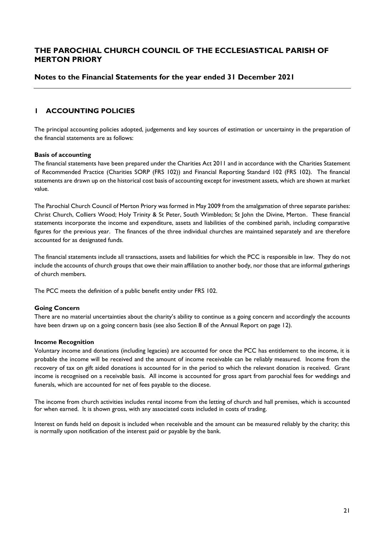### **Notes to the Financial Statements for the year ended 31 December 2021**

### **1 ACCOUNTING POLICIES**

The principal accounting policies adopted, judgements and key sources of estimation or uncertainty in the preparation of the financial statements are as follows:

#### **Basis of accounting**

The financial statements have been prepared under the Charities Act 2011 and in accordance with the Charities Statement of Recommended Practice (Charities SORP (FRS 102)) and Financial Reporting Standard 102 (FRS 102). The financial statements are drawn up on the historical cost basis of accounting except for investment assets, which are shown at market value.

The Parochial Church Council of Merton Priory was formed in May 2009 from the amalgamation of three separate parishes: Christ Church, Colliers Wood; Holy Trinity & St Peter, South Wimbledon; St John the Divine, Merton. These financial statements incorporate the income and expenditure, assets and liabilities of the combined parish, including comparative figures for the previous year. The finances of the three individual churches are maintained separately and are therefore accounted for as designated funds.

The financial statements include all transactions, assets and liabilities for which the PCC is responsible in law. They do not include the accounts of church groups that owe their main affiliation to another body, nor those that are informal gatherings of church members.

The PCC meets the definition of a public benefit entity under FRS 102.

#### **Going Concern**

There are no material uncertainties about the charity's ability to continue as a going concern and accordingly the accounts have been drawn up on a going concern basis (see also Section 8 of the Annual Report on page 12).

#### **Income Recognition**

Voluntary income and donations (including legacies) are accounted for once the PCC has entitlement to the income, it is probable the income will be received and the amount of income receivable can be reliably measured. Income from the recovery of tax on gift aided donations is accounted for in the period to which the relevant donation is received. Grant income is recognised on a receivable basis. All income is accounted for gross apart from parochial fees for weddings and funerals, which are accounted for net of fees payable to the diocese.

The income from church activities includes rental income from the letting of church and hall premises, which is accounted for when earned. It is shown gross, with any associated costs included in costs of trading.

Interest on funds held on deposit is included when receivable and the amount can be measured reliably by the charity; this is normally upon notification of the interest paid or payable by the bank.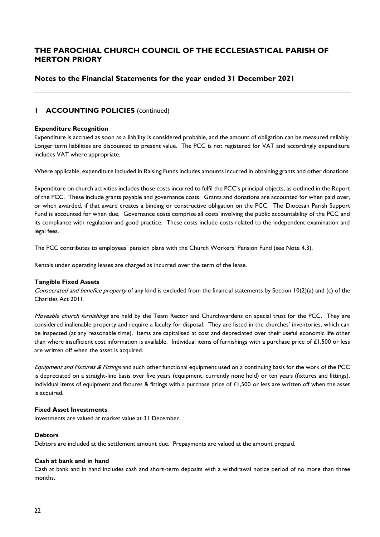### **Notes to the Financial Statements for the year ended 31 December 2021**

### **1 ACCOUNTING POLICIES** (continued)

#### **Expenditure Recognition**

Expenditure is accrued as soon as a liability is considered probable, and the amount of obligation can be measured reliably. Longer term liabilities are discounted to present value. The PCC is not registered for VAT and accordingly expenditure includes VAT where appropriate.

Where applicable, expenditure included in Raising Funds includes amounts incurred in obtaining grants and other donations.

Expenditure on church activities includes those costs incurred to fulfil the PCC's principal objects, as outlined in the Report of the PCC. These include grants payable and governance costs. Grants and donations are accounted for when paid over, or when awarded, if that award creates a binding or constructive obligation on the PCC. The Diocesan Parish Support Fund is accounted for when due. Governance costs comprise all costs involving the public accountability of the PCC and its compliance with regulation and good practice. These costs include costs related to the independent examination and legal fees.

The PCC contributes to employees' pension plans with the Church Workers' Pension Fund (see Note 4.3).

Rentals under operating leases are charged as incurred over the term of the lease.

#### **Tangible Fixed Assets**

Consecrated and benefice property of any kind is excluded from the financial statements by Section 10(2)(a) and (c) of the Charities Act 2011.

Moveable church furnishings are held by the Team Rector and Churchwardens on special trust for the PCC. They are considered inalienable property and require a faculty for disposal. They are listed in the churches' inventories, which can be inspected (at any reasonable time). Items are capitalised at cost and depreciated over their useful economic life other than where insufficient cost information is available. Individual items of furnishings with a purchase price of  $£1,500$  or less are written off when the asset is acquired.

Equipment and Fixtures & Fittings and such other functional equipment used on a continuing basis for the work of the PCC is depreciated on a straight-line basis over five years (equipment, currently none held) or ten years (fixtures and fittings). Individual items of equipment and fixtures & fittings with a purchase price of £1,500 or less are written off when the asset is acquired.

#### **Fixed Asset Investments**

Investments are valued at market value at 31 December.

#### **Debtors**

Debtors are included at the settlement amount due. Prepayments are valued at the amount prepaid.

#### **Cash at bank and in hand**

Cash at bank and in hand includes cash and short-term deposits with a withdrawal notice period of no more than three months.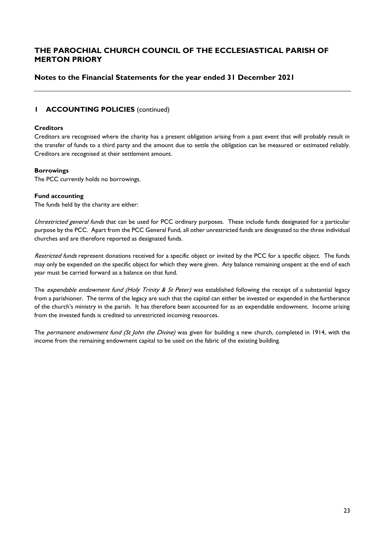# **Notes to the Financial Statements for the year ended 31 December 2021**

### **1 ACCOUNTING POLICIES** (continued)

#### **Creditors**

Creditors are recognised where the charity has a present obligation arising from a past event that will probably result in the transfer of funds to a third party and the amount due to settle the obligation can be measured or estimated reliably. Creditors are recognised at their settlement amount.

#### **Borrowings**

The PCC currently holds no borrowings.

#### **Fund accounting**

The funds held by the charity are either:

Unrestricted general funds that can be used for PCC ordinary purposes. These include funds designated for a particular purpose by the PCC. Apart from the PCC General Fund, all other unrestricted funds are designated to the three individual churches and are therefore reported as designated funds.

Restricted funds represent donations received for a specific object or invited by the PCC for a specific object. The funds may only be expended on the specific object for which they were given. Any balance remaining unspent at the end of each year must be carried forward as a balance on that fund.

The expendable endowment fund (Holy Trinity & St Peter) was established following the receipt of a substantial legacy from a parishioner. The terms of the legacy are such that the capital can either be invested or expended in the furtherance of the church's ministry in the parish. It has therefore been accounted for as an expendable endowment. Income arising from the invested funds is credited to unrestricted incoming resources.

The permanent endowment fund (St John the Divine) was given for building a new church, completed in 1914, with the income from the remaining endowment capital to be used on the fabric of the existing building.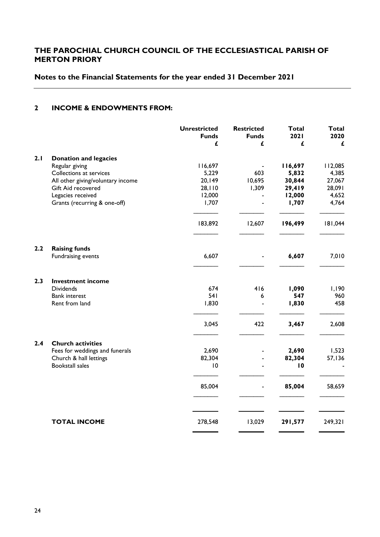# **Notes to the Financial Statements for the year ended 31 December 2021**

### **2 INCOME & ENDOWMENTS FROM:**

|     |                                   | <b>Unrestricted</b><br><b>Funds</b><br>£ | <b>Restricted</b><br><b>Funds</b><br>£ | <b>Total</b><br>2021<br>£ | <b>Total</b><br>2020<br>£ |
|-----|-----------------------------------|------------------------------------------|----------------------------------------|---------------------------|---------------------------|
| 2.1 | <b>Donation and legacies</b>      |                                          |                                        |                           |                           |
|     | Regular giving                    | 116,697                                  |                                        | 116,697                   | 112,085                   |
|     | Collections at services           | 5,229                                    | 603                                    | 5,832                     | 4,385                     |
|     | All other giving/voluntary income | 20,149                                   | 10,695                                 | 30,844                    | 27,067                    |
|     | Gift Aid recovered                | 28,110                                   | 1,309                                  | 29,419                    | 28,091                    |
|     | Legacies received                 | 12,000                                   |                                        | 12,000                    | 4,652                     |
|     | Grants (recurring & one-off)      | 1,707                                    |                                        | 1,707                     | 4,764                     |
|     |                                   | 183,892                                  | 12,607                                 | 196,499                   | 181,044                   |
| 2.2 | <b>Raising funds</b>              |                                          |                                        |                           |                           |
|     | Fundraising events                | 6,607                                    |                                        | 6,607                     | 7,010                     |
| 2.3 | <b>Investment income</b>          |                                          |                                        |                           |                           |
|     | <b>Dividends</b>                  | 674                                      | 416                                    | 1,090                     | 1,190                     |
|     | <b>Bank interest</b>              | 541                                      | 6                                      | 547                       | 960                       |
|     | Rent from land                    | 1,830                                    |                                        | 1,830                     | 458                       |
|     |                                   | 3,045                                    | 422                                    | 3,467                     | 2,608                     |
| 2.4 | <b>Church activities</b>          |                                          |                                        |                           |                           |
|     | Fees for weddings and funerals    | 2,690                                    |                                        | 2,690                     | 1,523                     |
|     | Church & hall lettings            | 82,304                                   |                                        | 82,304                    | 57,136                    |
|     | <b>Bookstall sales</b>            | $\overline{10}$                          |                                        | 10                        |                           |
|     |                                   | 85,004                                   |                                        | 85,004                    | 58,659                    |
|     |                                   |                                          |                                        |                           |                           |
|     | <b>TOTAL INCOME</b>               | 278,548                                  | 13,029                                 | 291,577                   | 249,321                   |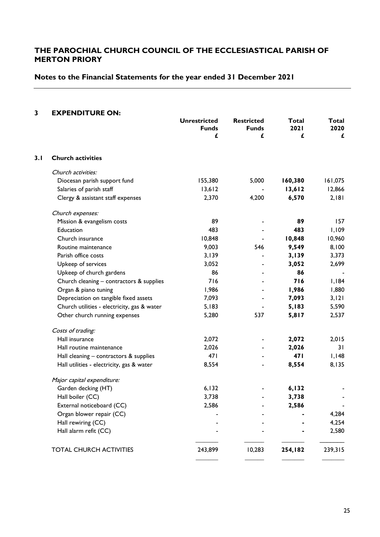# **Notes to the Financial Statements for the year ended 31 December 2021**

#### **3 EXPENDITURE ON:**

|     |                                             | <b>Unrestricted</b><br><b>Funds</b> |                   | <b>Total</b><br><b>2021</b> | Total<br>2020 |  |
|-----|---------------------------------------------|-------------------------------------|-------------------|-----------------------------|---------------|--|
|     |                                             | £                                   | <b>Funds</b><br>£ | £                           | £             |  |
| 3.1 | <b>Church activities</b>                    |                                     |                   |                             |               |  |
|     | Church activities:                          |                                     |                   |                             |               |  |
|     | Diocesan parish support fund                | 155,380                             | 5,000             | 160,380                     | 161,075       |  |
|     | Salaries of parish staff                    | 13,612                              |                   | 13,612                      | 12,866        |  |
|     | Clergy & assistant staff expenses           | 2,370                               | 4,200             | 6,570                       | 2,181         |  |
|     | Church expenses:                            |                                     |                   |                             |               |  |
|     | Mission & evangelism costs                  | 89                                  |                   | 89                          | 157           |  |
|     | Education                                   | 483                                 |                   | 483                         | 1,109         |  |
|     | Church insurance                            | 10,848                              |                   | 10,848                      | 10,960        |  |
|     | Routine maintenance                         | 9,003                               | 546               | 9,549                       | 8,100         |  |
|     | Parish office costs                         | 3,139                               |                   | 3,139                       | 3,373         |  |
|     | Upkeep of services                          | 3,052                               |                   | 3,052                       | 2,699         |  |
|     | Upkeep of church gardens                    | 86                                  |                   | 86                          |               |  |
|     | Church cleaning - contractors & supplies    | 716                                 |                   | 716                         | I, I84        |  |
|     | Organ & piano tuning                        | 1,986                               |                   | 1,986                       | 1,880         |  |
|     | Depreciation on tangible fixed assets       | 7,093                               |                   | 7,093                       | 3,121         |  |
|     | Church utilities - electricity, gas & water | 5,183                               |                   | 5,183                       | 5,590         |  |
|     | Other church running expenses               | 5,280                               | 537               | 5,817                       | 2,537         |  |
|     | Costs of trading:                           |                                     |                   |                             |               |  |
|     | Hall insurance                              | 2,072                               |                   | 2,072                       | 2,015         |  |
|     | Hall routine maintenance                    | 2,026                               |                   | 2,026                       | 31            |  |
|     | Hall cleaning - contractors & supplies      | 471                                 |                   | 47 I                        | I, I48        |  |
|     | Hall utilities - electricity, gas & water   | 8,554                               |                   | 8,554                       | 8,135         |  |
|     | Major capital expenditure:                  |                                     |                   |                             |               |  |
|     | Garden decking (HT)                         | 6,132                               |                   | 6,132                       |               |  |
|     | Hall boiler (CC)                            | 3,738                               |                   | 3,738                       |               |  |
|     | External noticeboard (CC)                   | 2,586                               |                   | 2,586                       |               |  |
|     | Organ blower repair (CC)                    |                                     |                   |                             | 4,284         |  |
|     | Hall rewiring (CC)                          |                                     |                   |                             | 4,254         |  |
|     | Hall alarm refit (CC)                       |                                     |                   |                             | 2,580         |  |
|     | <b>TOTAL CHURCH ACTIVITIES</b>              | 243,899                             | 10,283            | 254,182                     | 239,315       |  |
|     |                                             |                                     |                   |                             |               |  |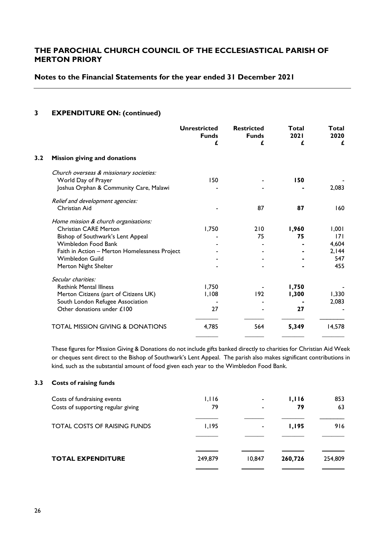### **Notes to the Financial Statements for the year ended 31 December 2021**

#### **3 EXPENDITURE ON: (continued)**

|     |                                               | <b>Unrestricted</b><br><b>Funds</b><br>£ | <b>Restricted</b><br><b>Funds</b><br>£ | Total<br>2021<br>£ | Total<br>2020<br>£ |
|-----|-----------------------------------------------|------------------------------------------|----------------------------------------|--------------------|--------------------|
| 3.2 | Mission giving and donations                  |                                          |                                        |                    |                    |
|     | Church overseas & missionary societies:       |                                          |                                        |                    |                    |
|     | World Day of Prayer                           | 150                                      |                                        | 150                |                    |
|     | Joshua Orphan & Community Care, Malawi        |                                          |                                        |                    | 2,083              |
|     | Relief and development agencies:              |                                          |                                        |                    |                    |
|     | Christian Aid                                 |                                          | 87                                     | 87                 | 160                |
|     | Home mission & church organisations:          |                                          |                                        |                    |                    |
|     | <b>Christian CARE Merton</b>                  | 1,750                                    | 210                                    | 1,960              | 1,001              |
|     | Bishop of Southwark's Lent Appeal             |                                          | 75                                     | 75                 | 171                |
|     | Wimbledon Food Bank                           |                                          |                                        |                    | 4,604              |
|     | Faith in Action - Merton Homelessness Project |                                          |                                        |                    | 2,144              |
|     | Wimbledon Guild                               |                                          |                                        |                    | 547                |
|     | Merton Night Shelter                          |                                          |                                        |                    | 455                |
|     | Secular charities:                            |                                          |                                        |                    |                    |
|     | <b>Rethink Mental Illness</b>                 | 1,750                                    |                                        | 1,750              |                    |
|     | Merton Citizens (part of Citizens UK)         | 1,108                                    | 192                                    | 1,300              | 1,330              |
|     | South London Refugee Association              |                                          |                                        |                    | 2,083              |
|     | Other donations under £100                    | 27                                       |                                        | 27                 |                    |
|     | <b>TOTAL MISSION GIVING &amp; DONATIONS</b>   | 4,785                                    | 564                                    | 5,349              | 14,578             |
|     |                                               |                                          |                                        |                    |                    |

These figures for Mission Giving & Donations do not include gifts banked directly to charities for Christian Aid Week or cheques sent direct to the Bishop of Southwark's Lent Appeal. The parish also makes significant contributions in kind, such as the substantial amount of food given each year to the Wimbledon Food Bank.

#### **3.3 Costs of raising funds**

| Costs of fundraising events<br>Costs of supporting regular giving | I.I 16<br>79 | $\overline{\phantom{0}}$ | 1,116<br>79   | 853<br>63 |
|-------------------------------------------------------------------|--------------|--------------------------|---------------|-----------|
| <b>TOTAL COSTS OF RAISING FUNDS</b>                               | 1,195        | $\blacksquare$           | <b>I, 195</b> | 916       |
| <b>TOTAL EXPENDITURE</b>                                          | 249,879      | 10,847                   | 260,726       | 254,809   |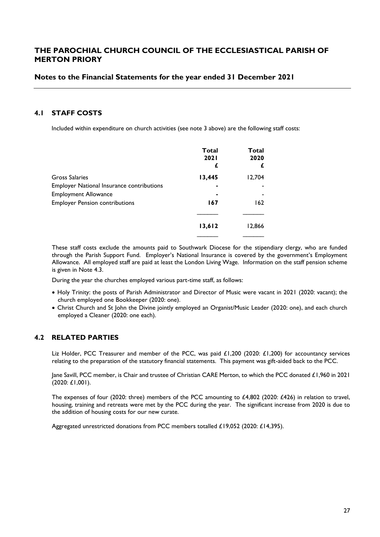### **Notes to the Financial Statements for the year ended 31 December 2021**

#### **4.1 STAFF COSTS**

Included within expenditure on church activities (see note 3 above) are the following staff costs:

|                                                  | <b>Total</b><br><b>2021</b><br>£ | Total<br>2020 |
|--------------------------------------------------|----------------------------------|---------------|
| Gross Salaries                                   | 13,445                           | 12,704        |
| <b>Employer National Insurance contributions</b> |                                  |               |
| <b>Employment Allowance</b>                      |                                  |               |
| <b>Employer Pension contributions</b>            | 167                              | 162           |
|                                                  | 13,612                           | 12,866        |
|                                                  |                                  |               |

These staff costs exclude the amounts paid to Southwark Diocese for the stipendiary clergy, who are funded through the Parish Support Fund. Employer's National Insurance is covered by the government's Employment Allowance. All employed staff are paid at least the London Living Wage. Information on the staff pension scheme is given in Note 4.3.

During the year the churches employed various part-time staff, as follows:

- Holy Trinity: the posts of Parish Administrator and Director of Music were vacant in 2021 (2020: vacant); the church employed one Bookkeeper (2020: one).
- Christ Church and St John the Divine jointly employed an Organist/Music Leader (2020: one), and each church employed a Cleaner (2020: one each).

### **4.2 RELATED PARTIES**

Liz Holder, PCC Treasurer and member of the PCC, was paid £1,200 (2020: £1,200) for accountancy services relating to the preparation of the statutory financial statements. This payment was gift-aided back to the PCC.

Jane Savill, PCC member, is Chair and trustee of Christian CARE Merton, to which the PCC donated £1,960 in 2021 (2020: £1,001).

The expenses of four (2020: three) members of the PCC amounting to £4,802 (2020: £426) in relation to travel, housing, training and retreats were met by the PCC during the year. The significant increase from 2020 is due to the addition of housing costs for our new curate.

Aggregated unrestricted donations from PCC members totalled £19,052 (2020: £14,395).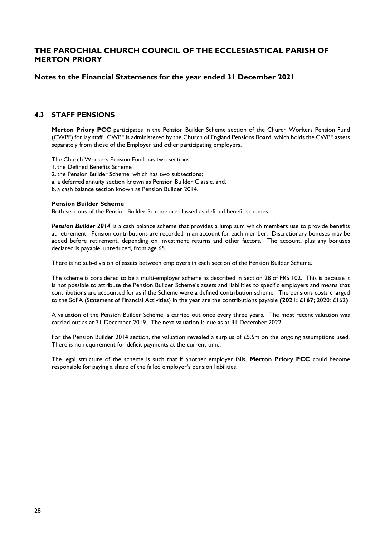#### **Notes to the Financial Statements for the year ended 31 December 2021**

#### **4.3 STAFF PENSIONS**

**Merton Priory PCC** participates in the Pension Builder Scheme section of the Church Workers Pension Fund (CWPF) for lay staff. CWPF is administered by the Church of England Pensions Board, which holds the CWPF assets separately from those of the Employer and other participating employers.

The Church Workers Pension Fund has two sections:

- 1. the Defined Benefits Scheme
- 2. the Pension Builder Scheme, which has two subsections;
- a. a deferred annuity section known as Pension Builder Classic, and,
- b. a cash balance section known as Pension Builder 2014.

#### **Pension Builder Scheme**

Both sections of the Pension Builder Scheme are classed as defined benefit schemes.

*Pension Builder 2014* is a cash balance scheme that provides a lump sum which members use to provide benefits at retirement. Pension contributions are recorded in an account for each member. Discretionary bonuses may be added before retirement, depending on investment returns and other factors. The account, plus any bonuses declared is payable, unreduced, from age 65.

There is no sub-division of assets between employers in each section of the Pension Builder Scheme.

The scheme is considered to be a multi-employer scheme as described in Section 28 of FRS 102. This is because it is not possible to attribute the Pension Builder Scheme's assets and liabilities to specific employers and means that contributions are accounted for as if the Scheme were a defined contribution scheme. The pensions costs charged to the SoFA (Statement of Financial Activities) in the year are the contributions payable **(2021: £167**; 2020: £162**)**.

A valuation of the Pension Builder Scheme is carried out once every three years. The most recent valuation was carried out as at 31 December 2019. The next valuation is due as at 31 December 2022.

For the Pension Builder 2014 section, the valuation revealed a surplus of £5.5m on the ongoing assumptions used. There is no requirement for deficit payments at the current time.

The legal structure of the scheme is such that if another employer fails, **Merton Priory PCC** could become responsible for paying a share of the failed employer's pension liabilities.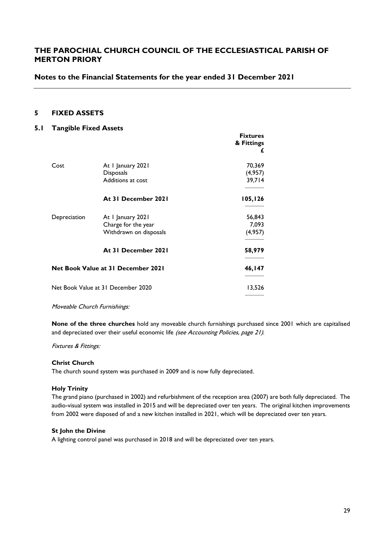**Fixtures**

### **Notes to the Financial Statements for the year ended 31 December 2021**

### **5 FIXED ASSETS**

#### **5.1 Tangible Fixed Assets**

|              |                                                                    | .<br>& Fittings<br>£        |
|--------------|--------------------------------------------------------------------|-----------------------------|
| Cost         | At I January 2021<br>Disposals<br>Additions at cost                | 70,369<br>(4,957)<br>39,714 |
|              | At 31 December 2021                                                | 105,126                     |
| Depreciation | At I January 2021<br>Charge for the year<br>Withdrawn on disposals | 56,843<br>7,093<br>(4,957)  |
|              | At 31 December 2021                                                | 58,979                      |
|              | <b>Net Book Value at 31 December 2021</b>                          | 46, I 47                    |
|              | Net Book Value at 31 December 2020                                 | 13,526                      |

Moveable Church Furnishings:

**None of the three churches** hold any moveable church furnishings purchased since 2001 which are capitalised and depreciated over their useful economic life (see Accounting Policies, page 21).

#### Fixtures & Fittings:

#### **Christ Church**

The church sound system was purchased in 2009 and is now fully depreciated.

#### **Holy Trinity**

The grand piano (purchased in 2002) and refurbishment of the reception area (2007) are both fully depreciated. The audio-visual system was installed in 2015 and will be depreciated over ten years. The original kitchen improvements from 2002 were disposed of and a new kitchen installed in 2021, which will be depreciated over ten years.

#### **St John the Divine**

A lighting control panel was purchased in 2018 and will be depreciated over ten years.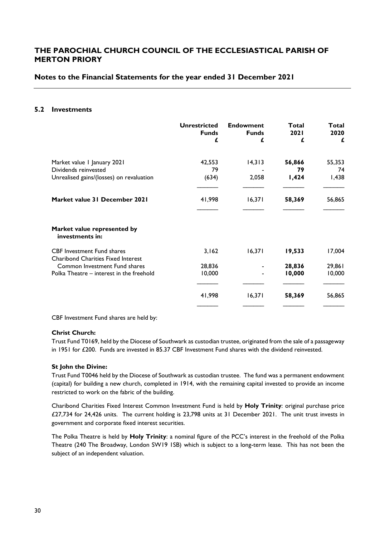### **Notes to the Financial Statements for the year ended 31 December 2021**

#### **5.2 Investments**

|                                                                                | <b>Unrestricted</b><br><b>Funds</b> | <b>Endowment</b><br><b>Funds</b> | Total<br>2021 | Total<br>2020 |
|--------------------------------------------------------------------------------|-------------------------------------|----------------------------------|---------------|---------------|
|                                                                                | £                                   | £                                | £             | £             |
| Market value I January 2021                                                    | 42,553                              | 14,313                           | 56,866        | 55,353        |
| Dividends reinvested                                                           | 79                                  |                                  | 79            | 74            |
| Unrealised gains/(losses) on revaluation                                       | (634)                               | 2,058                            | 1,424         | I,438         |
| Market value 31 December 2021                                                  | 41,998                              | 16,371                           | 58,369        | 56,865        |
| Market value represented by<br>investments in:                                 |                                     |                                  |               |               |
| <b>CBF</b> Investment Fund shares<br><b>Charibond Charities Fixed Interest</b> | 3,162                               | 16,371                           | 19,533        | 17,004        |
| Common Investment Fund shares                                                  | 28,836                              |                                  | 28,836        | 29,861        |
| Polka Theatre – interest in the freehold                                       | 10,000                              |                                  | 10,000        | 10,000        |
|                                                                                | 41,998                              | 16,371                           | 58,369        | 56,865        |
|                                                                                |                                     |                                  |               |               |

CBF Investment Fund shares are held by:

#### **Christ Church:**

Trust Fund T0169, held by the Diocese of Southwark as custodian trustee, originated from the sale of a passageway in 1951 for £200. Funds are invested in 85.37 CBF Investment Fund shares with the dividend reinvested.

#### **St John the Divine:**

Trust Fund T0046 held by the Diocese of Southwark as custodian trustee. The fund was a permanent endowment (capital) for building a new church, completed in 1914, with the remaining capital invested to provide an income restricted to work on the fabric of the building.

Charibond Charities Fixed Interest Common Investment Fund is held by **Holy Trinity**: original purchase price £27,734 for 24,426 units. The current holding is 23,798 units at 31 December 2021. The unit trust invests in government and corporate fixed interest securities.

The Polka Theatre is held by **Holy Trinity**: a nominal figure of the PCC's interest in the freehold of the Polka Theatre (240 The Broadway, London SW19 1SB) which is subject to a long-term lease. This has not been the subject of an independent valuation.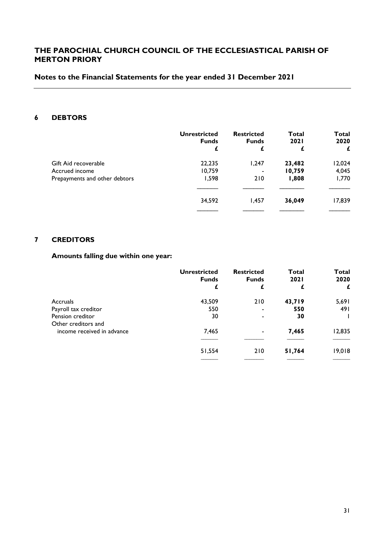# **Notes to the Financial Statements for the year ended 31 December 2021**

# **6 DEBTORS**

|                               | <b>Unrestricted</b><br><b>Funds</b><br>£ | <b>Restricted</b><br><b>Funds</b><br>£ | <b>Total</b><br><b>2021</b><br>£ | Total<br>2020<br>£ |
|-------------------------------|------------------------------------------|----------------------------------------|----------------------------------|--------------------|
| Gift Aid recoverable          | 22,235                                   | 1,247                                  | 23,482                           | 12,024             |
| Accrued income                | 10,759                                   |                                        | 10,759                           | 4,045              |
| Prepayments and other debtors | 1,598                                    | 210                                    | 1,808                            | 1,770              |
|                               | 34,592                                   | 1,457                                  | 36,049                           | 17,839             |
|                               |                                          |                                        |                                  |                    |

### **7 CREDITORS**

# **Amounts falling due within one year:**

|                            | <b>Unrestricted</b><br><b>Funds</b> | <b>Restricted</b><br><b>Funds</b> | Total<br><b>2021</b> | Total<br>2020 |
|----------------------------|-------------------------------------|-----------------------------------|----------------------|---------------|
|                            | £                                   | £                                 | £                    | £             |
| Accruals                   | 43,509                              | 210                               | 43,719               | 5,691         |
| Payroll tax creditor       | 550                                 |                                   | 550                  | 491           |
| Pension creditor           | 30                                  |                                   | 30                   |               |
| Other creditors and        |                                     |                                   |                      |               |
| income received in advance | 7,465                               | $\overline{\phantom{0}}$          | 7,465                | 12,835        |
|                            |                                     |                                   |                      |               |
|                            | 51,554                              | 210                               | 51,764               | 19,018        |
|                            |                                     |                                   |                      |               |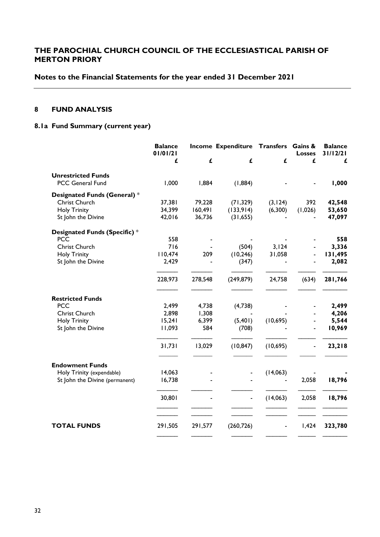# **Notes to the Financial Statements for the year ended 31 December 2021**

# **8 FUND ANALYSIS**

# **8.1a Fund Summary (current year)**

|                                | <b>Balance</b><br>01/01/21 |         | Income Expenditure Transfers Gains & |           | <b>Losses</b> | <b>Balance</b><br>31/12/21 |
|--------------------------------|----------------------------|---------|--------------------------------------|-----------|---------------|----------------------------|
|                                | £                          | £       | £                                    | £         | £             | £                          |
| <b>Unrestricted Funds</b>      |                            |         |                                      |           |               |                            |
| PCC General Fund               | 1,000                      | 1,884   | (1,884)                              |           |               | 1,000                      |
| Designated Funds (General) *   |                            |         |                                      |           |               |                            |
| <b>Christ Church</b>           | 37,381                     | 79,228  | (71, 329)                            | (3, 124)  | 392           | 42,548                     |
| <b>Holy Trinity</b>            | 34,399                     | 160,491 | (133,914)                            | (6,300)   | (1,026)       | 53,650                     |
| St John the Divine             | 42,016                     | 36,736  | (31, 655)                            |           |               | 47,097                     |
| Designated Funds (Specific) *  |                            |         |                                      |           |               |                            |
| <b>PCC</b>                     | 558                        |         |                                      |           |               | 558                        |
| <b>Christ Church</b>           | 716                        |         | (504)                                | 3,124     |               | 3,336                      |
| <b>Holy Trinity</b>            | 110,474                    | 209     | (10, 246)                            | 31,058    |               | 131,495                    |
| St John the Divine             | 2,429                      |         | (347)                                |           |               | 2,082                      |
|                                | 228,973                    | 278,548 | (249, 879)                           | 24,758    | (634)         | 281,766                    |
| <b>Restricted Funds</b>        |                            |         |                                      |           |               |                            |
| <b>PCC</b>                     | 2,499                      | 4,738   | (4,738)                              |           |               | 2,499                      |
| Christ Church                  | 2,898                      | 1,308   |                                      |           |               | 4,206                      |
| <b>Holy Trinity</b>            | 15,241                     | 6,399   | (5,401)                              | (10, 695) |               | 5,544                      |
| St John the Divine             | 11,093                     | 584     | (708)                                |           |               | 10,969                     |
|                                | 31,731                     | 13,029  | (10, 847)                            | (10,695)  |               | 23,218                     |
| <b>Endowment Funds</b>         |                            |         |                                      |           |               |                            |
| Holy Trinity (expendable)      | 14,063                     |         |                                      | (14,063)  |               |                            |
| St John the Divine (permanent) | 16,738                     |         |                                      |           | 2,058         | 18,796                     |
|                                | 30,801                     |         |                                      | (14,063)  | 2,058         | 18,796                     |
|                                |                            |         |                                      |           |               |                            |
| <b>TOTAL FUNDS</b>             | 291,505                    | 291,577 | (260, 726)                           |           | 1,424         | 323,780                    |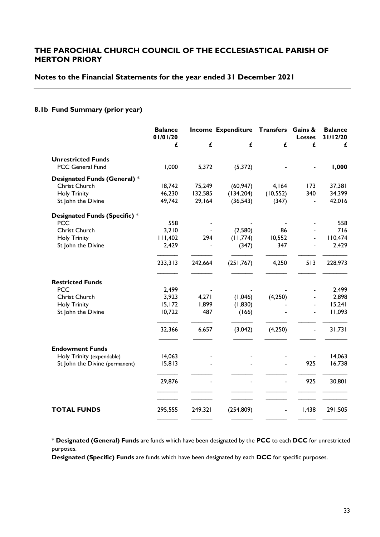#### **Notes to the Financial Statements for the year ended 31 December 2021**

### **8.1b Fund Summary (prior year)**

|                                                     | <b>Balance</b><br>01/01/20 |         | Income Expenditure Transfers Gains & |                          | <b>Losses</b> | <b>Balance</b><br>31/12/20 |
|-----------------------------------------------------|----------------------------|---------|--------------------------------------|--------------------------|---------------|----------------------------|
|                                                     | £                          | £       | £                                    | £                        | £             | £                          |
| <b>Unrestricted Funds</b>                           |                            |         |                                      |                          |               |                            |
| PCC General Fund                                    | 1,000                      | 5,372   | (5, 372)                             |                          |               | 1,000                      |
| Designated Funds (General) *                        |                            |         |                                      |                          |               |                            |
| Christ Church                                       | 18,742                     | 75,249  | (60, 947)                            | 4,164                    | 173           | 37,381                     |
| <b>Holy Trinity</b>                                 | 46,230                     | 132,585 | (134, 204)                           | (10, 552)                | 340           | 34,399                     |
| St John the Divine                                  | 49,742                     | 29,164  | (36, 543)                            | (347)                    |               | 42,016                     |
| Designated Funds (Specific) *                       |                            |         |                                      |                          |               |                            |
| <b>PCC</b>                                          | 558                        |         |                                      |                          |               | 558                        |
| Christ Church                                       | 3,210                      |         | (2,580)                              | 86                       |               | 716                        |
| <b>Holy Trinity</b>                                 | 111,402                    | 294     | (11,774)                             | 10,552                   |               | 110,474                    |
| St John the Divine                                  | 2,429                      |         | (347)                                | 347                      |               | 2,429                      |
|                                                     | 233,313                    | 242,664 | (251, 767)                           | 4,250                    | 513           | 228,973                    |
| <b>Restricted Funds</b>                             |                            |         |                                      |                          |               |                            |
| <b>PCC</b>                                          | 2,499                      |         |                                      |                          |               | 2,499                      |
| Christ Church                                       | 3,923                      | 4,271   | (1,046)                              | (4,250)                  |               | 2,898                      |
| <b>Holy Trinity</b>                                 | 15, 172                    | 1,899   | (1,830)                              |                          |               | 15,241                     |
| St John the Divine                                  | 10,722                     | 487     | (166)                                |                          |               | 11,093                     |
|                                                     | 32,366                     | 6,657   | (3,042)                              | (4,250)                  |               | 31,731                     |
|                                                     |                            |         |                                      |                          |               |                            |
| <b>Endowment Funds</b><br>Holy Trinity (expendable) | 14,063                     |         |                                      |                          |               | 14,063                     |
| St John the Divine (permanent)                      | 15,813                     |         |                                      |                          | 925           | 16,738                     |
|                                                     |                            |         |                                      |                          |               |                            |
|                                                     | 29,876                     |         |                                      |                          | 925           | 30,801                     |
|                                                     |                            |         |                                      |                          |               |                            |
| <b>TOTAL FUNDS</b>                                  | 295,555                    | 249,321 | (254, 809)                           | $\overline{\phantom{0}}$ | 1,438         | 291,505                    |

\* **Designated (General) Funds** are funds which have been designated by the **PCC** to each **DCC** for unrestricted purposes.

**Designated (Specific) Funds** are funds which have been designated by each **DCC** for specific purposes.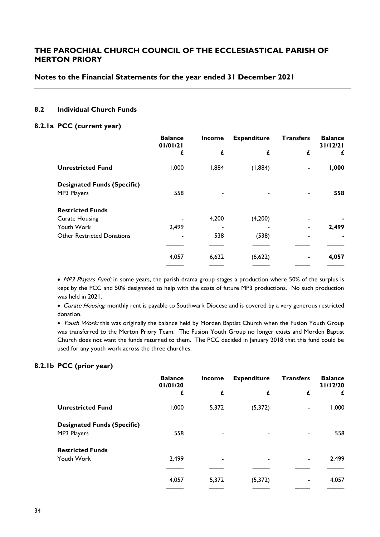### **Notes to the Financial Statements for the year ended 31 December 2021**

### **8.2 Individual Church Funds**

#### **8.2.1a PCC (current year)**

|                                    | <b>Balance</b><br>01/01/21 | <b>Income</b> | <b>Expenditure</b> | <b>Transfers</b> | <b>Balance</b><br>31/12/21 |
|------------------------------------|----------------------------|---------------|--------------------|------------------|----------------------------|
|                                    | £                          | £             | £                  | £                | £                          |
| <b>Unrestricted Fund</b>           | 1,000                      | 1,884         | (1,884)            |                  | 1,000                      |
| <b>Designated Funds (Specific)</b> |                            |               |                    |                  |                            |
| MP3 Players                        | 558                        |               |                    |                  | 558                        |
| <b>Restricted Funds</b>            |                            |               |                    |                  |                            |
| <b>Curate Housing</b>              |                            | 4,200         | (4,200)            |                  |                            |
| Youth Work                         | 2,499                      |               |                    |                  | 2,499                      |
| <b>Other Restricted Donations</b>  |                            | 538           | (538)              |                  |                            |
|                                    |                            |               |                    |                  |                            |
|                                    | 4,057                      | 6,622         | (6,622)            |                  | 4,057                      |
|                                    |                            |               |                    |                  |                            |

• MP3 Players Fund: in some years, the parish drama group stages a production where 50% of the surplus is kept by the PCC and 50% designated to help with the costs of future MP3 productions. No such production was held in 2021.

• Curate Housing: monthly rent is payable to Southwark Diocese and is covered by a very generous restricted donation.

• Youth Work: this was originally the balance held by Morden Baptist Church when the Fusion Youth Group was transferred to the Merton Priory Team. The Fusion Youth Group no longer exists and Morden Baptist Church does not want the funds returned to them. The PCC decided in January 2018 that this fund could be used for any youth work across the three churches.

### **8.2.1b PCC (prior year)**

|                                                   | <b>Balance</b><br>01/01/20 | <b>Income</b>            | <b>Expenditure</b> | <b>Transfers</b> | <b>Balance</b><br>31/12/20 |
|---------------------------------------------------|----------------------------|--------------------------|--------------------|------------------|----------------------------|
|                                                   | £                          | £                        | £                  | £                | £                          |
| <b>Unrestricted Fund</b>                          | 1,000                      | 5,372                    | (5,372)            | ٠                | 1,000                      |
| <b>Designated Funds (Specific)</b><br>MP3 Players | 558                        | $\overline{\phantom{a}}$ | ٠                  | ٠                | 558                        |
| <b>Restricted Funds</b><br>Youth Work             | 2,499                      | $\overline{\phantom{a}}$ |                    |                  | 2,499                      |
|                                                   | 4,057                      | 5,372                    | (5,372)            | ٠                | 4,057                      |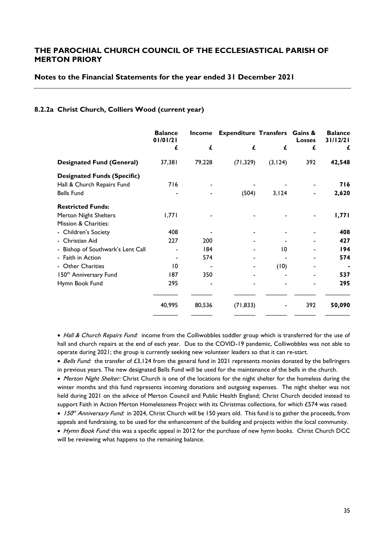#### **Notes to the Financial Statements for the year ended 31 December 2021**

#### **8.2.2a Christ Church, Colliers Wood (current year)**

|                                    | <b>Balance</b><br>01/01/21 | Income | <b>Expenditure Transfers Gains &amp;</b> |          | <b>Losses</b> | <b>Balance</b><br>31/12/21 |
|------------------------------------|----------------------------|--------|------------------------------------------|----------|---------------|----------------------------|
|                                    | £                          | £      | £                                        | £        | £             | £                          |
| <b>Designated Fund (General)</b>   | 37,381                     | 79,228 | (71, 329)                                | (3, 124) | 392           | 42,548                     |
| <b>Designated Funds (Specific)</b> |                            |        |                                          |          |               |                            |
| Hall & Church Repairs Fund         | 716                        |        |                                          |          |               | 716                        |
| <b>Bells Fund</b>                  |                            |        | (504)                                    | 3,124    |               | 2,620                      |
| <b>Restricted Funds:</b>           |                            |        |                                          |          |               |                            |
| Merton Night Shelters              | 1,771                      |        |                                          |          |               | 1,771                      |
| Mission & Charities:               |                            |        |                                          |          |               |                            |
| - Children's Society               | 408                        |        |                                          |          |               | 408                        |
| - Christian Aid                    | 227                        | 200    |                                          |          |               | 427                        |
| - Bishop of Southwark's Lent Call  |                            | 184    |                                          | 10       |               | 194                        |
| - Faith in Action                  |                            | 574    |                                          |          |               | 574                        |
| - Other Charities                  | 10                         |        |                                          | (10)     |               |                            |
| 150 <sup>th</sup> Anniversary Fund | 187                        | 350    |                                          |          |               | 537                        |
| Hymn Book Fund                     | 295                        |        |                                          |          |               | 295                        |
|                                    | 40,995                     | 80,536 | (71, 833)                                |          | 392           | 50,090                     |
|                                    |                            |        |                                          |          |               |                            |

• Hall & Church Repairs Fund: income from the Colliwobbles toddler group which is transferred for the use of hall and church repairs at the end of each year. Due to the COVID-19 pandemic, Colliwobbles was not able to operate during 2021; the group is currently seeking new volunteer leaders so that it can re-start.

• Bells Fund: the transfer of £3,124 from the general fund in 2021 represents monies donated by the bellringers in previous years. The new designated Bells Fund will be used for the maintenance of the bells in the church.

• Merton Night Shelter: Christ Church is one of the locations for the night shelter for the homeless during the winter months and this fund represents incoming donations and outgoing expenses. The night shelter was not held during 2021 on the advice of Merton Council and Public Health England; Christ Church decided instead to support Faith in Action Merton Homelessness Project with its Christmas collections, for which £574 was raised.

• 150<sup>th</sup> Anniversary Fund: in 2024, Christ Church will be 150 years old. This fund is to gather the proceeds, from appeals and fundraising, to be used for the enhancement of the building and projects within the local community.

• Hymn Book Fund: this was a specific appeal in 2012 for the purchase of new hymn books. Christ Church DCC will be reviewing what happens to the remaining balance.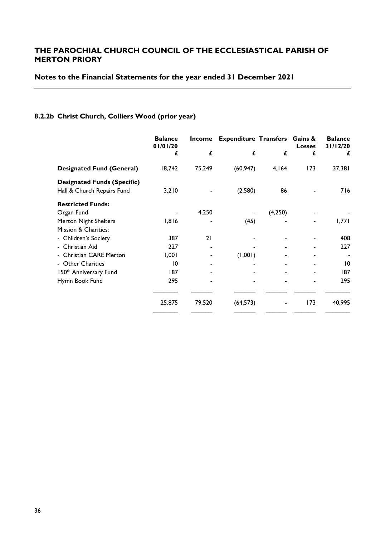# **Notes to the Financial Statements for the year ended 31 December 2021**

# **8.2.2b Christ Church, Colliers Wood (prior year)**

|                                                                  | <b>Balance</b><br>01/01/20 | <b>Income</b> | <b>Expenditure Transfers Gains &amp;</b> |         | <b>Losses</b> | <b>Balance</b><br>31/12/20 |
|------------------------------------------------------------------|----------------------------|---------------|------------------------------------------|---------|---------------|----------------------------|
|                                                                  | £                          | £             | £                                        | £       | £             | £                          |
| <b>Designated Fund (General)</b>                                 | 18,742                     | 75,249        | (60, 947)                                | 4,164   | 173           | 37,381                     |
| <b>Designated Funds (Specific)</b><br>Hall & Church Repairs Fund | 3,210                      |               | (2,580)                                  | 86      |               | 716                        |
| <b>Restricted Funds:</b>                                         |                            |               |                                          |         |               |                            |
| Organ Fund                                                       |                            | 4,250         |                                          | (4,250) |               |                            |
| Merton Night Shelters                                            | 1,816                      |               | (45)                                     |         |               | 1,771                      |
| Mission & Charities:                                             |                            |               |                                          |         |               |                            |
| - Children's Society                                             | 387                        | 21            |                                          |         |               | 408                        |
| - Christian Aid                                                  | 227                        |               |                                          |         |               | 227                        |
| - Christian CARE Merton                                          | 1,001                      |               | (1,001)                                  |         |               |                            |
| - Other Charities                                                | 10                         |               |                                          |         |               | $\overline{10}$            |
| 150 <sup>th</sup> Anniversary Fund                               | 187                        |               |                                          |         |               | 187                        |
| Hymn Book Fund                                                   | 295                        |               |                                          |         |               | 295                        |
|                                                                  | 25,875                     | 79,520        | (64, 573)                                |         | 173           | 40,995                     |
|                                                                  |                            |               |                                          |         |               |                            |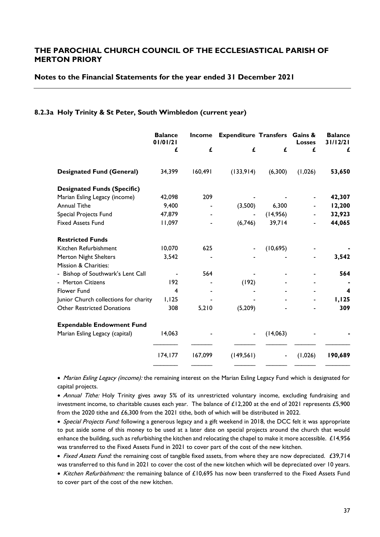#### **Notes to the Financial Statements for the year ended 31 December 2021**

#### **8.2.3a Holy Trinity & St Peter, South Wimbledon (current year)**

|                                       | <b>Balance</b> | <b>Income</b><br>01/01/21 | <b>Expenditure Transfers Gains &amp;</b> |           | <b>Losses</b> | <b>Balance</b><br>31/12/21 |
|---------------------------------------|----------------|---------------------------|------------------------------------------|-----------|---------------|----------------------------|
|                                       | £              | £                         | £                                        | £         | £             | £                          |
| <b>Designated Fund (General)</b>      | 34,399         | 160,491                   | (133,914)                                | (6,300)   | (1,026)       | 53,650                     |
| <b>Designated Funds (Specific)</b>    |                |                           |                                          |           |               |                            |
| Marian Esling Legacy (income)         | 42,098         | 209                       |                                          |           |               | 42,307                     |
| <b>Annual Tithe</b>                   | 9,400          |                           | (3,500)                                  | 6,300     |               | 12,200                     |
| Special Projects Fund                 | 47,879         |                           |                                          | (14,956)  |               | 32,923                     |
| <b>Fixed Assets Fund</b>              | 11,097         |                           | (6,746)                                  | 39,714    |               | 44,065                     |
| <b>Restricted Funds</b>               |                |                           |                                          |           |               |                            |
| Kitchen Refurbishment                 | 10,070         | 625                       |                                          | (10, 695) |               |                            |
| Merton Night Shelters                 | 3,542          |                           |                                          |           |               | 3,542                      |
| Mission & Charities:                  |                |                           |                                          |           |               |                            |
| - Bishop of Southwark's Lent Call     |                | 564                       |                                          |           |               | 564                        |
| - Merton Citizens                     | 192            |                           | (192)                                    |           |               |                            |
| Flower Fund                           | 4              |                           |                                          |           |               | 4                          |
| Junior Church collections for charity | 1,125          |                           |                                          |           |               | 1,125                      |
| <b>Other Restricted Donations</b>     | 308            | 5,210                     | (5,209)                                  |           |               | 309                        |
| <b>Expendable Endowment Fund</b>      |                |                           |                                          |           |               |                            |
| Marian Esling Legacy (capital)        | 14,063         |                           | $\blacksquare$                           | (14,063)  |               |                            |
|                                       | 174, 177       | 167,099                   | (149, 561)                               |           | (1,026)       | 190,689                    |

• Marian Esling Legacy (income): the remaining interest on the Marian Esling Legacy Fund which is designated for capital projects.

• Annual Tithe: Holy Trinity gives away 5% of its unrestricted voluntary income, excluding fundraising and investment income, to charitable causes each year. The balance of £12,200 at the end of 2021 represents £5,900 from the 2020 tithe and £6,300 from the 2021 tithe, both of which will be distributed in 2022.

• Special Projects Fund: following a generous legacy and a gift weekend in 2018, the DCC felt it was appropriate to put aside some of this money to be used at a later date on special projects around the church that would enhance the building, such as refurbishing the kitchen and relocating the chapel to make it more accessible. £14,956 was transferred to the Fixed Assets Fund in 2021 to cover part of the cost of the new kitchen.

• Fixed Assets Fund: the remaining cost of tangible fixed assets, from where they are now depreciated. £39,714 was transferred to this fund in 2021 to cover the cost of the new kitchen which will be depreciated over 10 years.

• Kitchen Refurbishment: the remaining balance of £10,695 has now been transferred to the Fixed Assets Fund to cover part of the cost of the new kitchen.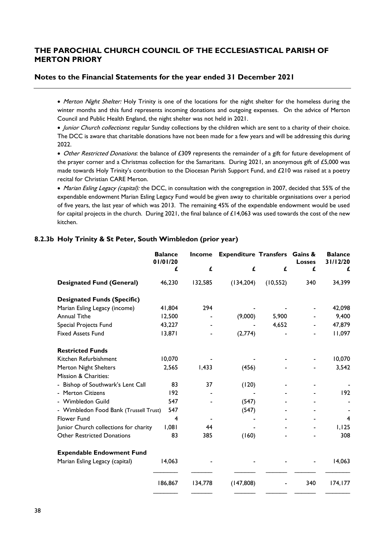### **Notes to the Financial Statements for the year ended 31 December 2021**

• Merton Night Shelter: Holy Trinity is one of the locations for the night shelter for the homeless during the winter months and this fund represents incoming donations and outgoing expenses. On the advice of Merton Council and Public Health England, the night shelter was not held in 2021.

• Junior Church collections: regular Sunday collections by the children which are sent to a charity of their choice. The DCC is aware that charitable donations have not been made for a few years and will be addressing this during 2022.

• Other Restricted Donations: the balance of £309 represents the remainder of a gift for future development of the prayer corner and a Christmas collection for the Samaritans. During 2021, an anonymous gift of £5,000 was made towards Holy Trinity's contribution to the Diocesan Parish Support Fund, and £210 was raised at a poetry recital for Christian CARE Merton.

• Marian Esling Legacy (capital): the DCC, in consultation with the congregation in 2007, decided that 55% of the expendable endowment Marian Esling Legacy Fund would be given away to charitable organisations over a period of five years, the last year of which was 2013. The remaining 45% of the expendable endowment would be used for capital projects in the church. During 2021, the final balance of £14,063 was used towards the cost of the new kitchen.

### **8.2.3b Holy Trinity & St Peter, South Wimbledon (prior year)**

|                                        | <b>Balance</b><br>01/01/20 | <b>Income</b> | <b>Expenditure Transfers</b> |           | Gains &<br><b>Losses</b> | <b>Balance</b><br>31/12/20 |
|----------------------------------------|----------------------------|---------------|------------------------------|-----------|--------------------------|----------------------------|
|                                        | £                          | £             | £                            | £         | £                        | £                          |
| <b>Designated Fund (General)</b>       | 46,230                     | 132,585       | (134, 204)                   | (10, 552) | 340                      | 34,399                     |
| <b>Designated Funds (Specific)</b>     |                            |               |                              |           |                          |                            |
| Marian Esling Legacy (income)          | 41,804                     | 294           |                              |           |                          | 42,098                     |
| <b>Annual Tithe</b>                    | 12,500                     |               | (9,000)                      | 5,900     |                          | 9,400                      |
| Special Projects Fund                  | 43,227                     |               |                              | 4,652     |                          | 47,879                     |
| <b>Fixed Assets Fund</b>               | 13,871                     |               | (2,774)                      |           |                          | 11,097                     |
| <b>Restricted Funds</b>                |                            |               |                              |           |                          |                            |
| Kitchen Refurbishment                  | 10,070                     |               |                              |           |                          | 10,070                     |
| Merton Night Shelters                  | 2,565                      | 1,433         | (456)                        |           |                          | 3,542                      |
| Mission & Charities:                   |                            |               |                              |           |                          |                            |
| - Bishop of Southwark's Lent Call      | 83                         | 37            | (120)                        |           |                          |                            |
| <b>Merton Citizens</b>                 | 192                        |               |                              |           |                          | 192                        |
| - Wimbledon Guild                      | 547                        |               | (547)                        |           |                          |                            |
| - Wimbledon Food Bank (Trussell Trust) | 547                        |               | (547)                        |           |                          |                            |
| Flower Fund                            | 4                          |               |                              |           |                          | 4                          |
| Junior Church collections for charity  | 1,081                      | 44            |                              |           |                          | 1,125                      |
| <b>Other Restricted Donations</b>      | 83                         | 385           | (160)                        |           |                          | 308                        |
| <b>Expendable Endowment Fund</b>       |                            |               |                              |           |                          |                            |
| Marian Esling Legacy (capital)         | 14,063                     |               |                              |           |                          | 14,063                     |
|                                        | 186,867                    | 134,778       | (147,808)                    |           | 340                      | 174, 177                   |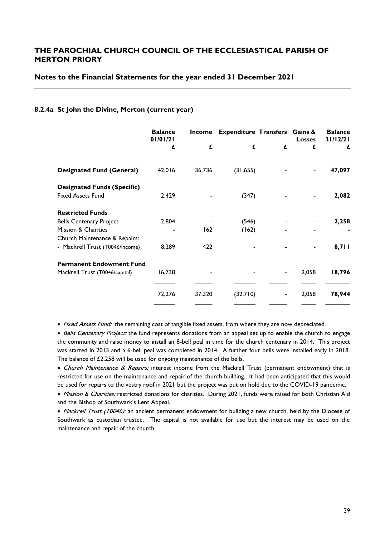#### **Notes to the Financial Statements for the year ended 31 December 2021**

#### **8.2.4a St John the Divine, Merton (current year)**

|                                    | <b>Balance</b><br>01/01/21 | Income | <b>Expenditure Transfers Gains &amp;</b> |   | <b>Losses</b> | <b>Balance</b><br>31/12/21 |
|------------------------------------|----------------------------|--------|------------------------------------------|---|---------------|----------------------------|
|                                    | £                          | £      | £                                        | £ | £             | £                          |
| <b>Designated Fund (General)</b>   | 42,016                     | 36,736 | (31, 655)                                |   |               | 47,097                     |
| <b>Designated Funds (Specific)</b> |                            |        |                                          |   |               |                            |
| <b>Fixed Assets Fund</b>           | 2,429                      |        | (347)                                    |   |               | 2,082                      |
| <b>Restricted Funds</b>            |                            |        |                                          |   |               |                            |
| <b>Bells Centenary Project</b>     | 2,804                      |        | (546)                                    |   |               | 2,258                      |
| Mission & Charities                |                            | 162    | (162)                                    |   |               |                            |
| Church Maintenance & Repairs:      |                            |        |                                          |   |               |                            |
| - Mackrell Trust (T0046/income)    | 8,289                      | 422    |                                          |   |               | 8,711                      |
| <b>Permanent Endowment Fund</b>    |                            |        |                                          |   |               |                            |
| Mackrell Trust (T0046/capital)     | 16,738                     |        |                                          |   | 2,058         | 18,796                     |
|                                    |                            |        |                                          |   |               |                            |
|                                    | 72,276                     | 37,320 | (32,710)                                 |   | 2,058         | 78,944                     |
|                                    |                            |        |                                          |   |               |                            |

• Fixed Assets Fund: the remaining cost of tangible fixed assets, from where they are now depreciated.

• Bells Centenary Project: the fund represents donations from an appeal set up to enable the church to engage the community and raise money to install an 8-bell peal in time for the church centenary in 2014. This project was started in 2013 and a 6-bell peal was completed in 2014. A further four bells were installed early in 2018. The balance of £2,258 will be used for ongoing maintenance of the bells.

• Church Maintenance & Repairs: interest income from the Mackrell Trust (permanent endowment) that is restricted for use on the maintenance and repair of the church building. It had been anticipated that this would be used for repairs to the vestry roof in 2021 but the project was put on hold due to the COVID-19 pandemic.

• Mission & Charities: restricted donations for charities. During 2021, funds were raised for both Christian Aid and the Bishop of Southwark's Lent Appeal.

• Mackrell Trust (T0046): an ancient permanent endowment for building a new church, held by the Diocese of Southwark as custodian trustee. The capital is not available for use but the interest may be used on the maintenance and repair of the church.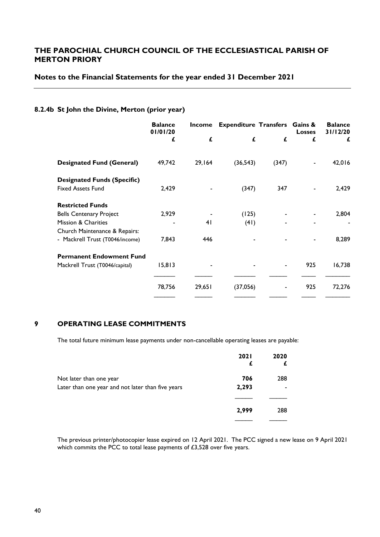### **Notes to the Financial Statements for the year ended 31 December 2021**

### **8.2.4b St John the Divine, Merton (prior year)**

|                                    | <b>Balance</b><br>01/01/20 | Income | <b>Expenditure Transfers Gains &amp;</b> |       | <b>Losses</b> | <b>Balance</b><br>31/12/20 |
|------------------------------------|----------------------------|--------|------------------------------------------|-------|---------------|----------------------------|
|                                    | £                          | £      | £                                        | £     | £             | £                          |
| <b>Designated Fund (General)</b>   | 49,742                     | 29,164 | (36, 543)                                | (347) |               | 42,016                     |
| <b>Designated Funds (Specific)</b> |                            |        |                                          |       |               |                            |
| <b>Fixed Assets Fund</b>           | 2,429                      |        | (347)                                    | 347   |               | 2,429                      |
| <b>Restricted Funds</b>            |                            |        |                                          |       |               |                            |
| <b>Bells Centenary Project</b>     | 2,929                      |        | (125)                                    |       |               | 2,804                      |
| <b>Mission &amp; Charities</b>     |                            | 41     | (41)                                     |       |               |                            |
| Church Maintenance & Repairs:      |                            |        |                                          |       |               |                            |
| - Mackrell Trust (T0046/income)    | 7,843                      | 446    |                                          |       |               | 8,289                      |
| <b>Permanent Endowment Fund</b>    |                            |        |                                          |       |               |                            |
| Mackrell Trust (T0046/capital)     | 15,813                     |        |                                          |       | 925           | 16,738                     |
|                                    | 78,756                     | 29,651 | (37,056)                                 |       | 925           | 72,276                     |
|                                    |                            |        |                                          |       |               |                            |

#### **9 OPERATING LEASE COMMITMENTS**

The total future minimum lease payments under non-cancellable operating leases are payable:

|                                                   | <b>2021</b> | 2020 |
|---------------------------------------------------|-------------|------|
| Not later than one year                           | 706         | 288  |
| Later than one year and not later than five years | 2,293       |      |
|                                                   |             |      |
|                                                   | 2,999       | 288  |
|                                                   |             |      |

The previous printer/photocopier lease expired on 12 April 2021. The PCC signed a new lease on 9 April 2021 which commits the PCC to total lease payments of £3,528 over five years.